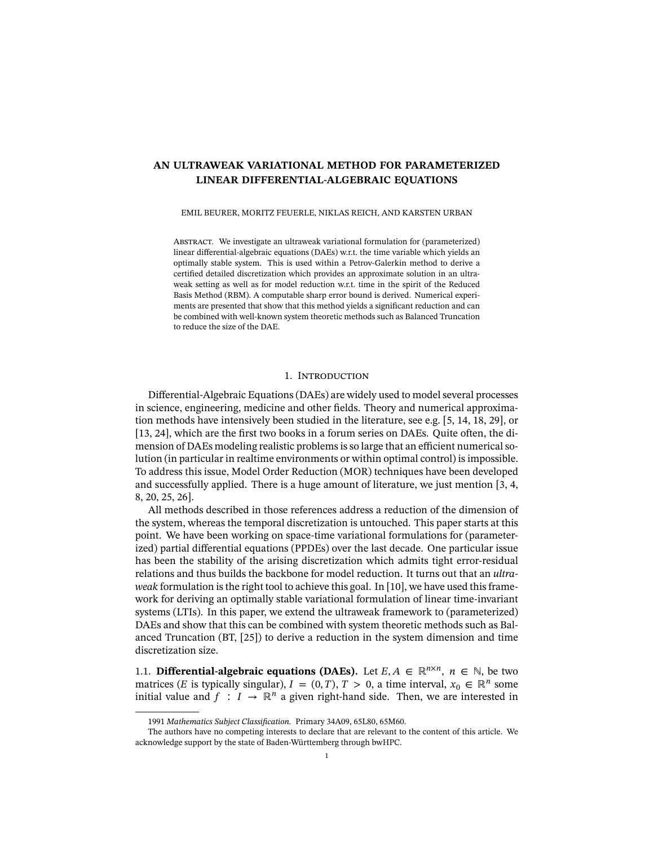# **AN ULTRAWEAK VARIATIONAL METHOD FOR PARAMETERIZED LINEAR DIFFERENTIAL-ALGEBRAIC EQUATIONS**

EMIL BEURER, MORITZ FEUERLE, NIKLAS REICH, AND KARSTEN URBAN

ABSTRACT. We investigate an ultraweak variational formulation for (parameterized) linear differential-algebraic equations (DAEs) w.r.t. the time variable which yields an optimally stable system. This is used within a Petrov-Galerkin method to derive a certified detailed discretization which provides an approximate solution in an ultraweak setting as well as for model reduction w.r.t. time in the spirit of the Reduced Basis Method (RBM). A computable sharp error bound is derived. Numerical experiments are presented that show that this method yields a significant reduction and can be combined with well-known system theoretic methods such as Balanced Truncation to reduce the size of the DAE.

# 1. INTRODUCTION

Differential-Algebraic Equations (DAEs) are widely used to model several processes in science, engineering, medicine and other fields. Theory and numerical approximation methods have intensively been studied in the literature, see e.g. [\[5,](#page-17-0) [14,](#page-17-1) [18,](#page-18-0) [29\]](#page-18-1), or  $[13, 24]$  $[13, 24]$ , which are the first two books in a forum series on DAEs. Quite often, the dimension of DAEs modeling realistic problems is so large that an efficient numerical solution (in particular in realtime environments or within optimal control) is impossible. To address this issue, Model Order Reduction (MOR) techniques have been developed and successfully applied. There is a huge amount of literature, we just mention [\[3,](#page-17-3) [4,](#page-17-4) [8,](#page-17-5) [20,](#page-18-3) [25,](#page-18-4) [26\]](#page-18-5).

All methods described in those references address a reduction of the dimension of the system, whereas the temporal discretization is untouched. This paper starts at this point. We have been working on space-time variational formulations for (parameterized) partial differential equations (PPDEs) over the last decade. One particular issue has been the stability of the arising discretization which admits tight error-residual relations and thus builds the backbone for model reduction. It turns out that an *ultraweak* formulation is the right tool to achieve this goal. In [\[10\]](#page-17-6), we have used this framework for deriving an optimally stable variational formulation of linear time-invariant systems (LTIs). In this paper, we extend the ultraweak framework to (parameterized) DAEs and show that this can be combined with system theoretic methods such as Balanced Truncation (BT, [\[25\]](#page-18-4)) to derive a reduction in the system dimension and time discretization size.

1.1. **Differential-algebraic equations (DAEs).** Let  $E, A \in \mathbb{R}^{n \times n}$ ,  $n \in \mathbb{N}$ , be two matrices (*E* is typically singular),  $I = (0, T), T > 0$ , a time interval,  $x_0 \in \mathbb{R}^n$  some initial value and  $f : I \to \mathbb{R}^n$  a given right-hand side. Then, we are interested in

<sup>1991</sup> Mathematics Subject Classification. Primary 34A09, 65L80, 65M60.

The authors have no competing interests to declare that are relevant to the content of this article. We acknowledge support by the state of Baden-Württemberg through bwHPC.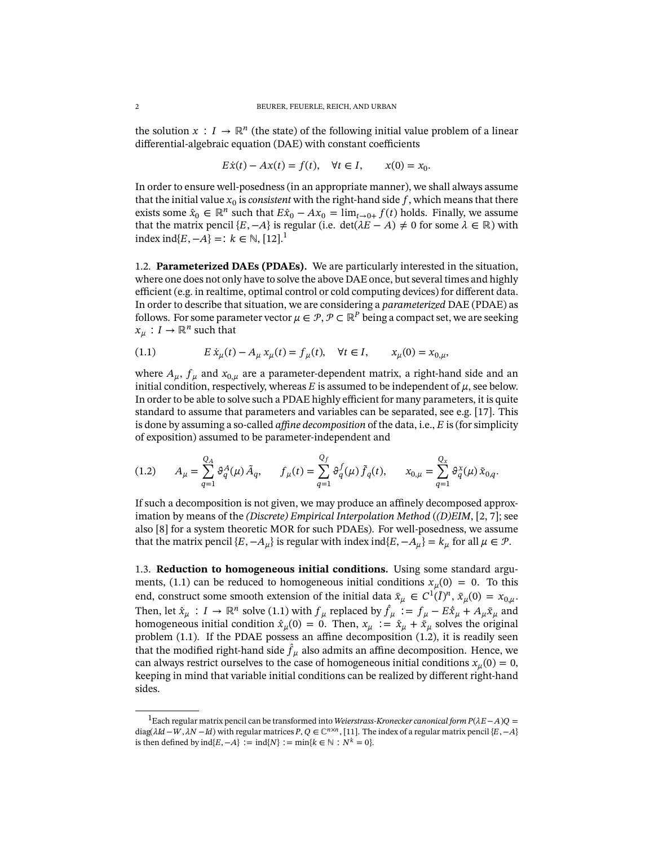the solution  $x : I \to \mathbb{R}^n$  (the state) of the following initial value problem of a linear  $differential-algebraic equation (DAE) with constant coefficients$ 

$$
E\dot{x}(t) - Ax(t) = f(t), \quad \forall t \in I, \qquad x(0) = x_0.
$$

In order to ensure well-posedness (in an appropriate manner), we shall always assume that the initial value  $x_0$  is *consistent* with the right-hand side  $f$ , which means that there exists some  $\hat{x}_0 \in \mathbb{R}^n$  such that  $E\hat{x}_0 - Ax_0 = \lim_{t \to 0+} f(t)$  holds. Finally, we assume that the matrix pencil  $\{E, -A\}$  is regular (i.e. det( $\lambda E - A$ ) ≠ 0 for some  $\lambda \in \mathbb{R}$ ) with index ind{ $E, -A$ } = :  $k \in \mathbb{N}$ , [\[12\]](#page-17-7).<sup>[1](#page-1-0)</sup>

1.2. **Parameterized DAEs (PDAEs).** We are particularly interested in the situation, where one does not only have to solve the above DAE once, but several times and highly efficient (e.g. in realtime, optimal control or cold computing devices) for different data. In order to describe that situation, we are considering a *parameterized* DAE (PDAE) as follows. For some parameter vector  $\mu \in \mathcal{P}, \mathcal{P} \subset \mathbb{R}^P$  being a compact set, we are seeking  $x_{\mu}: I \to \mathbb{R}^n$  such that

<span id="page-1-1"></span>(1.1) 
$$
E \dot{x}_{\mu}(t) - A_{\mu} x_{\mu}(t) = f_{\mu}(t), \quad \forall t \in I, \qquad x_{\mu}(0) = x_{0,\mu},
$$

where  $A_{\mu}$ ,  $f_{\mu}$  and  $x_{0,\mu}$  are a parameter-dependent matrix, a right-hand side and an initial condition, respectively, whereas  $E$  is assumed to be independent of  $\mu$ , see below. In order to be able to solve such a PDAE highly efficient for many parameters, it is quite standard to assume that parameters and variables can be separated, see e.g. [\[17\]](#page-17-8). This is done by assuming a so-called *affine decomposition* of the data, i.e., E is (for simplicity of exposition) assumed to be parameter-independent and

<span id="page-1-2"></span>
$$
(1.2) \t A_{\mu} = \sum_{q=1}^{Q_{A}} \vartheta_{q}^{A}(\mu) \tilde{A}_{q}, \t f_{\mu}(t) = \sum_{q=1}^{Q_{f}} \vartheta_{q}^{f}(\mu) \tilde{f}_{q}(t), \t x_{0,\mu} = \sum_{q=1}^{Q_{x}} \vartheta_{q}^{x}(\mu) \tilde{x}_{0,q}.
$$

If such a decomposition is not given, we may produce an affinely decomposed approximation by means of the *(Discrete) Empirical Interpolation Method* (*(D)EIM*, [\[2,](#page-17-9) [7\]](#page-17-10); see also [\[8\]](#page-17-5) for a system theoretic MOR for such PDAEs). For well-posedness, we assume that the matrix pencil  $\{E, -A_\mu\}$  is regular with index ind $\{E, -A_\mu\} = k_\mu$  for all  $\mu \in \mathcal{P}$ .

<span id="page-1-3"></span>1.3. **Reduction to homogeneous initial conditions.** Using some standard argu-ments, [\(1.1\)](#page-1-1) can be reduced to homogeneous initial conditions  $x_u(0) = 0$ . To this end, construct some smooth extension of the initial data  $\bar{x}_{\mu} \in C^{1}(\bar{I})^{n}$ ,  $\bar{x}_{\mu}(0) = x_{0,\mu}$ . Then, let  $\hat{x}_{\mu}: I \to \mathbb{R}^n$  solve [\(1.1\)](#page-1-1) with  $f_{\mu}$  replaced by  $\hat{f}_{\mu} := f_{\mu} - E\dot{x}_{\mu} + A_{\mu}\bar{x}_{\mu}$  and homogeneous initial condition  $\hat{x}_{\mu}(0) = 0$ . Then,  $x_{\mu} := \hat{x}_{\mu} + \hat{x}_{\mu}$  solves the original problem [\(1.1\)](#page-1-1). If the PDAE possess an affine decomposition [\(1.2\)](#page-1-2), it is readily seen that the modified right-hand side  $\hat{f}_\mu$  also admits an affine decomposition. Hence, we can always restrict ourselves to the case of homogeneous initial conditions  $x_{\mu}(0) = 0$ , keeping in mind that variable initial conditions can be realized by different right-hand sides.

<span id="page-1-0"></span><sup>&</sup>lt;sup>1</sup>Each regular matrix pencil can be transformed into *Weierstrass-Kronecker canonical form P*(λE − A)Q = diag( $\lambda Id - W, \lambda N - Id$ ) with regular matrices  $P, Q \in \mathbb{C}^{n \times n}$ , [\[11\]](#page-17-11). The index of a regular matrix pencil { $E, -A$ } is then defined by  $ind{E, -A}$  : =  $ind{N}$  : =  $min{k \in \mathbb{N} : N^k = 0}$ .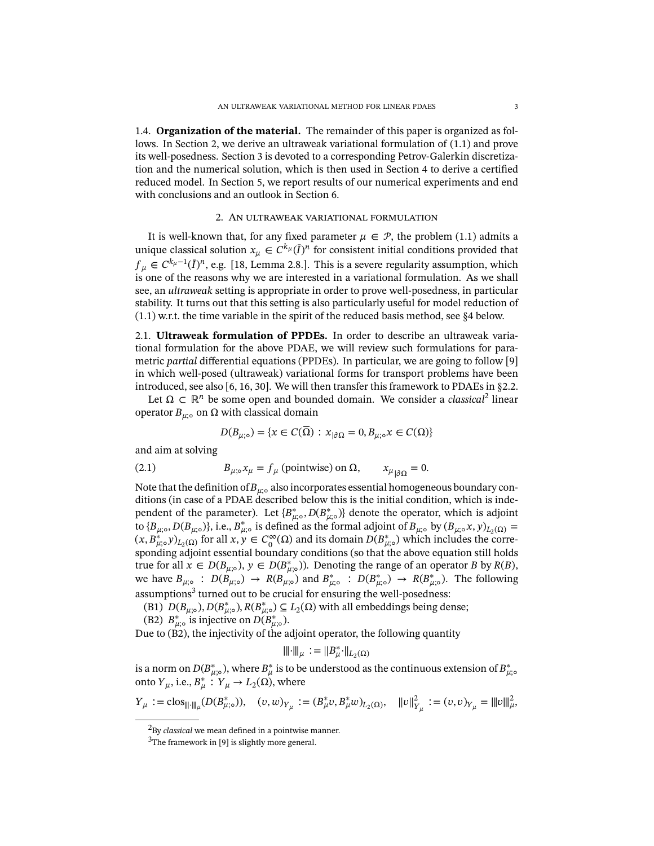1.4. **Organization of the material.** The remainder of this paper is organized as follows. In Section [2,](#page-2-0) we derive an ultraweak variational formulation of [\(1.1\)](#page-1-1) and prove its well-posedness. Section [3](#page-6-0) is devoted to a corresponding Petrov-Galerkin discretiza-tion and the numerical solution, which is then used in Section [4](#page-9-0) to derive a certified reduced model. In Section [5,](#page-11-0) we report results of our numerical experiments and end with conclusions and an outlook in Section [6.](#page-16-0)

## 2. An ultraweak variational formulation

<span id="page-2-0"></span>It is well-known that, for any fixed parameter  $\mu \in \mathcal{P}$ , the problem [\(1.1\)](#page-1-1) admits a unique classical solution  $x_{\mu} \in C^{k_{\mu}}(\bar{I})^n$  for consistent initial conditions provided that  $f_{\mu} \in C^{k_{\mu}-1}(\overline{I})^n$ , e.g. [\[18,](#page-18-0) Lemma 2.8.]. This is a severe regularity assumption, which is one of the reasons why we are interested in a variational formulation. As we shall see, an *ultraweak* setting is appropriate in order to prove well-posedness, in particular stability. It turns out that this setting is also particularly useful for model reduction of [\(1.1\)](#page-1-1) w.r.t. the time variable in the spirit of the reduced basis method, see [§4](#page-9-0) below.

<span id="page-2-4"></span>2.1. **Ultraweak formulation of PPDEs.** In order to describe an ultraweak variational formulation for the above PDAE, we will review such formulations for parametric *partial* differential equations (PPDEs). In particular, we are going to follow [\[9\]](#page-17-12) in which well-posed (ultraweak) variational forms for transport problems have been introduced, see also [\[6,](#page-17-13) [16,](#page-17-14) [30\]](#page-18-6). We will then transfer this framework to PDAEs in [§2.2.](#page-3-0)

Let  $\Omega \subset \mathbb{R}^n$  be some open and bounded domain. We consider a *classical*<sup>[2](#page-2-1)</sup> linear operator  $B_{\mu;\circ}$  on Ω with classical domain

$$
D(B_{\mu,\circ}) = \{x \in C(\Omega) : x_{|\partial\Omega} = 0, B_{\mu,\circ} x \in C(\Omega)\}
$$

and aim at solving

<span id="page-2-3"></span>(2.1) 
$$
B_{\mu,\circ}x_{\mu} = f_{\mu} \text{ (pointwise) on } \Omega, \qquad x_{\mu}{}_{|\partial\Omega} = 0.
$$

Note that the definition of  $B_{\mu;\circ}$  also incorporates essential homogeneous boundary conditions (in case of a PDAE described below this is the initial condition, which is independent of the parameter). Let  ${B_{\mu,\infty}^*}, D(B_{\mu,\infty}^*)$  denote the operator, which is adjoint to  $\{B_{\mu;\circ}, D(B_{\mu;\circ})\}$ , i.e.,  $B_{\mu;\circ}^*$  is defined as the formal adjoint of  $B_{\mu;\circ}$  by  $(B_{\mu;\circ}x, y)_{L_2(\Omega)} =$  $(x, B_{\mu,\circ}^* y)_{L_2(\Omega)}$  for all  $x, y \in C_0^{\infty}(\Omega)$  and its domain  $D(B_{\mu,\circ}^*)$  which includes the corresponding adjoint essential boundary conditions (so that the above equation still holds true for all  $x \in D(B_{\mu,\circ}), y \in D(B_{\mu,\circ}^*)$ . Denoting the range of an operator B by  $R(B)$ , we have  $B_{\mu;\circ}$ :  $D(B_{\mu;\circ}) \to R(B_{\mu;\circ})$  and  $B_{\mu;\circ}^*$ :  $D(B_{\mu;\circ}) \to R(B_{\mu;\circ})$ . The following  $assumptions<sup>3</sup> turned out to be crucial for ensuring the well-posedness:$  $assumptions<sup>3</sup> turned out to be crucial for ensuring the well-posedness:$  $assumptions<sup>3</sup> turned out to be crucial for ensuring the well-posedness:$ 

(B1)  $D(B_{\mu,\circ}), D(B_{\mu,\circ}^*), R(B_{\mu,\circ}^*) \subseteq L_2(\Omega)$  with all embeddings being dense;

(B2)  $B_{\mu;\circ}^*$  is injective on  $D(B_{\mu;\circ}^*)$ .

Due to (B2), the injectivity of the adjoint operator, the following quantity

$$
\|\hspace{-0.04cm}|\hspace{-0.04cm}|\hspace{-0.04cm}|_{\mu}:=\|B^*_{\mu}\cdot\|_{L_2(\Omega)}
$$

is a norm on  $D(B_{\mu;\circ}^*)$ , where  $B_\mu^*$  is to be understood as the continuous extension of  $B_{\mu;\circ}^*$ onto  $Y_{\mu}$ , i.e.,  $B_{\mu}^*$  :  $Y_{\mu} \rightarrow L_2(\Omega)$ , where

 $Y_{\mu} := \text{clos}_{\|\|\cdot\|_{\mu}} (D(B_{\mu,0}^*)), \quad (v,w)_{Y_{\mu}} := (B_{\mu}^* v, B_{\mu}^* w)_{L_2(\Omega)}, \quad \|v\|_{Y_{\mu}}^2 := (v,v)_{Y_{\mu}} = \|w\|_{\mu}^2,$ 

<span id="page-2-1"></span><sup>&</sup>lt;sup>2</sup>By *classical* we mean defined in a pointwise manner.

<span id="page-2-2"></span> $3$ The framework in [\[9\]](#page-17-12) is slightly more general.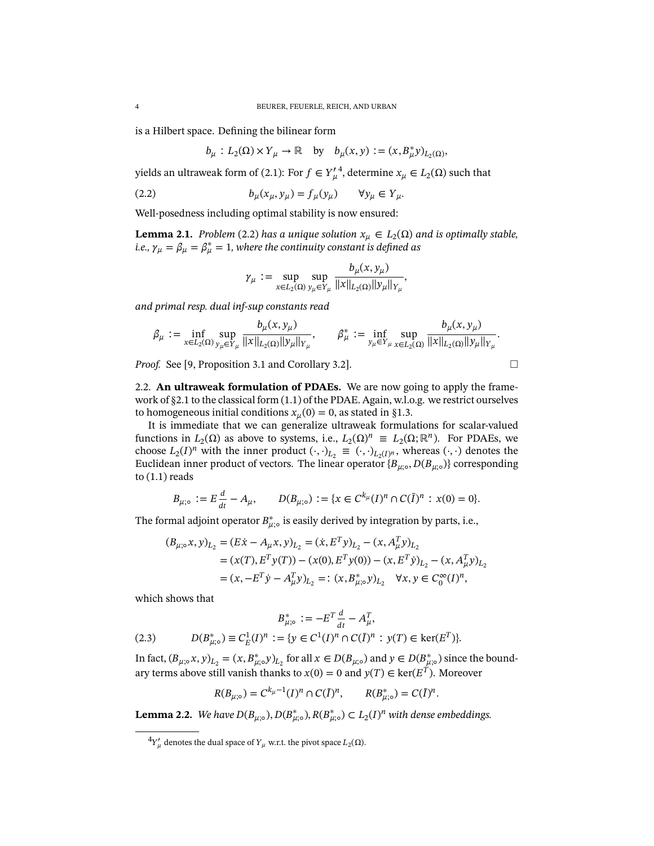is a Hilbert space. Defining the bilinear form

$$
b_{\mu}: L_2(\Omega) \times Y_{\mu} \to \mathbb{R}
$$
 by  $b_{\mu}(x, y) := (x, B_{\mu}^* y)_{L_2(\Omega)}$ ,

yields an ultraweak form of [\(2.1\)](#page-2-3): For  $f \in Y'_\mu$ <sup>[4](#page-3-1)</sup>, determine  $x_{\mu} \in L_2(\Omega)$  such that

<span id="page-3-2"></span>(2.2) 
$$
b_{\mu}(x_{\mu}, y_{\mu}) = f_{\mu}(y_{\mu}) \qquad \forall y_{\mu} \in Y_{\mu}.
$$

Well-posedness including optimal stability is now ensured:

<span id="page-3-4"></span>**Lemma 2.1.** *Problem* [\(2.2\)](#page-3-2) has a unique solution  $x_{\mu} \in L_2(\Omega)$  and is optimally stable, i.e.,  $\gamma_\mu = \beta_\mu = \beta_\mu^* = 1$ , where the continuity constant is defined as

$$
\gamma_{\mu} := \sup_{x \in L_2(\Omega)} \sup_{y_{\mu} \in Y_{\mu}} \frac{b_{\mu}(x, y_{\mu})}{\|x\|_{L_2(\Omega)} \|y_{\mu}\|_{Y_{\mu}}},
$$

*and primal resp. dual inf-sup constants read*

$$
\beta_{\mu} := \inf_{x \in L_2(\Omega)} \sup_{y_{\mu} \in Y_{\mu}} \frac{b_{\mu}(x, y_{\mu})}{\|x\|_{L_2(\Omega)} \|y_{\mu}\|_{Y_{\mu}}}, \qquad \beta_{\mu}^* := \inf_{y_{\mu} \in Y_{\mu}} \sup_{x \in L_2(\Omega)} \frac{b_{\mu}(x, y_{\mu})}{\|x\|_{L_2(\Omega)} \|y_{\mu}\|_{Y_{\mu}}}.
$$

*Proof.* See [\[9,](#page-17-12) Proposition 3.1 and Corollary 3.2].

<span id="page-3-0"></span>2.2. **An ultraweak formulation of PDAEs.** We are now going to apply the framework of [§2.1](#page-2-4) to the classical form [\(1.1\)](#page-1-1) of the PDAE. Again, w.l.o.g. we restrict ourselves to homogeneous initial conditions  $x_u(0) = 0$ , as stated in [§1.3.](#page-1-3)

It is immediate that we can generalize ultraweak formulations for scalar-valued functions in  $L_2(\Omega)$  as above to systems, i.e.,  $L_2(\Omega)^n \equiv L_2(\Omega; \mathbb{R}^n)$ . For PDAEs, we choose  $L_2(I)^n$  with the inner product  $(\cdot, \cdot)_{L_2} \equiv (\cdot, \cdot)_{L_2(I)^n}$ , whereas  $(\cdot, \cdot)$  denotes the Euclidean inner product of vectors. The linear operator  ${B_{\mu;\circ},D(B_{\mu;\circ})}$  corresponding to  $(1.1)$  reads

$$
B_{\mu;\circ} := E\frac{d}{dt} - A_{\mu}, \qquad D(B_{\mu;\circ}) := \{x \in C^{k_{\mu}}(I)^n \cap C(I)^n : x(0) = 0\}.
$$

The formal adjoint operator  $B_{\mu;\circ}^*$  is easily derived by integration by parts, i.e.,

$$
(B_{\mu; \circ} x, y)_{L_2} = (E\dot{x} - A_{\mu} x, y)_{L_2} = (\dot{x}, E^T y)_{L_2} - (x, A_{\mu}^T y)_{L_2}
$$
  
=  $(x(T), E^T y(T)) - (x(0), E^T y(0)) - (x, E^T \dot{y})_{L_2} - (x, A_{\mu}^T y)_{L_2}$   
=  $(x, -E^T \dot{y} - A_{\mu}^T y)_{L_2} =: (x, B_{\mu; \circ}^* y)_{L_2} \quad \forall x, y \in C_0^{\infty}(I)^n$ ,

which shows that

<span id="page-3-3"></span>(2.3) 
$$
B_{\mu; \circ}^{*} := -E^{T} \frac{d}{dt} - A_{\mu}^{T},
$$

$$
D(B_{\mu; \circ}^{*}) \equiv C_{E}^{1}(I)^{n} := \{ y \in C^{1}(I)^{n} \cap C(\bar{I})^{n} : y(T) \in \ker(E^{T}) \}.
$$

In fact,  $(B_{\mu;\circ}x, y)_{L_2} = (x, B_{\mu;\circ}^*y)_{L_2}$  for all  $x \in D(B_{\mu;\circ})$  and  $y \in D(B_{\mu;\circ}^*)$  since the boundary terms above still vanish thanks to  $x(0) = 0$  and  $y(T) \in \text{ker}(E^T)$ . Moreover

$$
R(B_{\mu; \circ}) = C^{k_{\mu}-1}(I)^n \cap C(\bar{I})^n, \qquad R(B_{\mu; \circ}^*) = C(\bar{I})^n.
$$

**Lemma 2.2.** *We have*  $D(B_{\mu,\circ}), D(B_{\mu,\circ}^*), R(B_{\mu,\circ}^*) \subset L_2(I)^n$  with dense embeddings.

$$
\square
$$

<span id="page-3-1"></span> ${}^4Y'_\mu$  denotes the dual space of  $Y_\mu$  w.r.t. the pivot space  $L_2(\Omega)$ .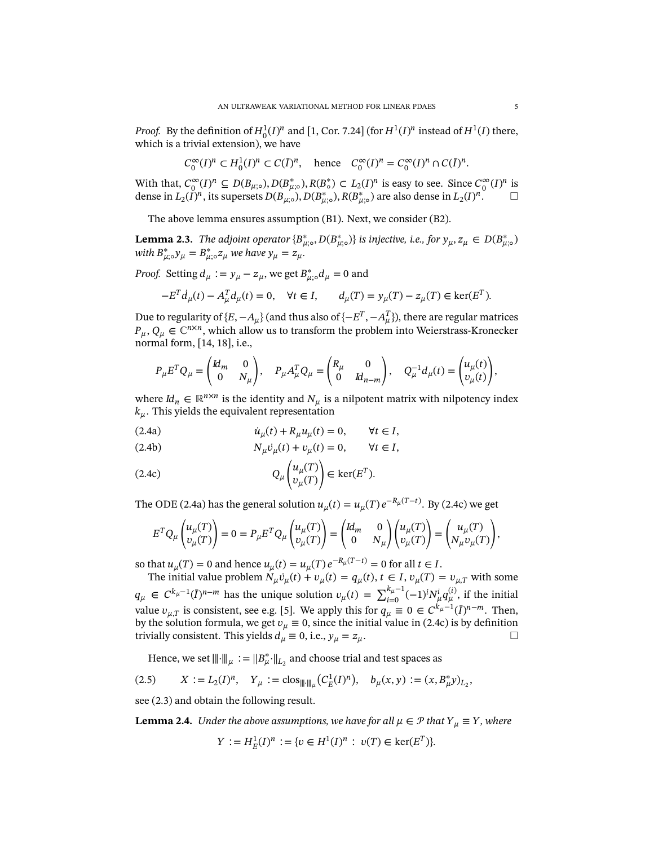*Proof.* By the definition of  $H_0^1(I)^n$  and [\[1,](#page-17-15) Cor. 7.24] (for  $H^1(I)^n$  instead of  $H^1(I)$  there, which is a trivial extension), we have

$$
C_0^{\infty}(I)^n \subset H_0^1(I)^n \subset C(\overline{I})^n, \quad \text{hence} \quad C_0^{\infty}(I)^n = C_0^{\infty}(I)^n \cap C(\overline{I})^n.
$$

With that,  $C_0^{\infty}(I)^n \subseteq D(B_{\mu,\circ}), D(B_{\mu,\circ}^*)$ ,  $R(B_{\circ}^*) \subset L_2(I)^n$  is easy to see. Since  $C_0^{\infty}(I)^n$  is dense in  $L_2(I)^n$ , its supersets  $D(B_{\mu;\circ}^{\bullet}), D(B_{\mu;\circ}^{\ast}), R(B_{\mu;\circ}^{\ast})$  are also dense in  $L_2(I)^n$ .

The above lemma ensures assumption (B1). Next, we consider (B2).

**Lemma 2.3.** *The adjoint operator*  ${B_{\mu,\circ}^*}, D(B_{\mu,\circ}^*)$  *is injective, i.e., for*  $y_\mu, z_\mu \in D(B_{\mu,\circ}^*)$ with  $B_{\mu;\circ}^* y_\mu = B_{\mu;\circ}^* z_\mu$  we have  $y_\mu = z_\mu$ .

*Proof.* Setting  $d_{\mu} := y_{\mu} - z_{\mu}$ , we get  $B_{\mu}^{*}$ ,  $d_{\mu} = 0$  and

$$
-E^{T}d_{\mu}(t) - A_{\mu}^{T}d_{\mu}(t) = 0, \quad \forall t \in I, \qquad d_{\mu}(T) = y_{\mu}(T) - z_{\mu}(T) \in \ker(E^{T}).
$$

Due to regularity of { $E, -A_\mu$ } (and thus also of { $-E^T, -A_\mu^T$ }), there are regular matrices  $P_{\mu}, Q_{\mu} \in \mathbb{C}^{n \times n}$ , which allow us to transform the problem into Weierstrass-Kronecker normal form, [\[14,](#page-17-1) [18\]](#page-18-0), i.e.,

$$
P_{\mu}E^{T}Q_{\mu} = \begin{pmatrix} Id_{m} & 0 \\ 0 & N_{\mu} \end{pmatrix}, \quad P_{\mu}A_{\mu}^{T}Q_{\mu} = \begin{pmatrix} R_{\mu} & 0 \\ 0 & Id_{n-m} \end{pmatrix}, \quad Q_{\mu}^{-1}d_{\mu}(t) = \begin{pmatrix} u_{\mu}(t) \\ v_{\mu}(t) \end{pmatrix},
$$

where  $Id_n \in \mathbb{R}^{n \times n}$  is the identity and  $N_{\mu}$  is a nilpotent matrix with nilpotency index  $k_{\mu}$ . This yields the equivalent representation

<span id="page-4-0"></span>(2.4a) 
$$
\dot{u}_{\mu}(t) + R_{\mu}u_{\mu}(t) = 0, \qquad \forall t \in I,
$$

(2.4b) 
$$
N_{\mu}\dot{v}_{\mu}(t) + v_{\mu}(t) = 0, \qquad \forall t \in I,
$$

<span id="page-4-1"></span>(2.4c) 
$$
Q_{\mu}\begin{pmatrix} u_{\mu}(T) \\ v_{\mu}(T) \end{pmatrix} \in \text{ker}(E^{T}).
$$

The ODE [\(2.4a\)](#page-4-0) has the general solution  $u_{\mu}(t) = u_{\mu}(T) e^{-R_{\mu}(T-t)}$ . By [\(2.4c\)](#page-4-1) we get

$$
E^T Q_\mu \begin{pmatrix} u_\mu(T) \\ v_\mu(T) \end{pmatrix} = 0 = P_\mu E^T Q_\mu \begin{pmatrix} u_\mu(T) \\ v_\mu(T) \end{pmatrix} = \begin{pmatrix} Id_m & 0 \\ 0 & N_\mu \end{pmatrix} \begin{pmatrix} u_\mu(T) \\ v_\mu(T) \end{pmatrix} = \begin{pmatrix} u_\mu(T) \\ N_\mu v_\mu(T) \end{pmatrix},
$$

so that  $u_{\mu}(T) = 0$  and hence  $u_{\mu}(t) = u_{\mu}(T) e^{-R_{\mu}(T-t)} = 0$  for all  $t \in I$ .

The initial value problem  $N_{\mu}v_{\mu}(t) + v_{\mu}(t) = q_{\mu}(t)$ ,  $t \in I$ ,  $v_{\mu}(T) = v_{\mu,T}$  with some  $q_{\mu} \in C^{k_{\mu}-1}(\bar{I})^{n-m}$  has the unique solution  $v_{\mu}(t) = \sum_{i=0}^{k_{\mu}-1} (-1)^{i} N_{\mu}^{i} q_{\mu}^{(i)}$ , if the initial value  $v_{\mu,T}$  is consistent, see e.g. [\[5\]](#page-17-0). We apply this for  $q_{\mu} \equiv 0 \in C^{k_{\mu}-1}(\bar{I})^{n-m}$ . Then, by the solution formula, we get  $v_{\mu} \equiv 0$ , since the initial value in [\(2.4c\)](#page-4-1) is by definition trivially consistent. This yields  $d_{\mu} \equiv 0$ , i.e.,  $y_{\mu} = z_{\mu}$ .

Hence, we set  $\|\|\cdot\|\|_{\mu} := \|B_{\mu}^*\cdot\|_{L_2}$  and choose trial and test spaces as

(2.5) 
$$
X := L_2(I)^n
$$
,  $Y_\mu := \text{clos}_{\|\|\cdot\|_\mu} (C_E^1(I)^n)$ ,  $b_\mu(x, y) := (x, B_\mu^* y)_{L_2}$ ,

see [\(2.3\)](#page-3-3) and obtain the following result.

**Lemma 2.4.** *Under the above assumptions, we have for all*  $\mu \in \mathcal{P}$  *that*  $Y_{\mu} \equiv Y$ *, where* 

$$
Y := H_E^1(I)^n := \{ v \in H^1(I)^n : v(T) \in \ker(E^T) \}.
$$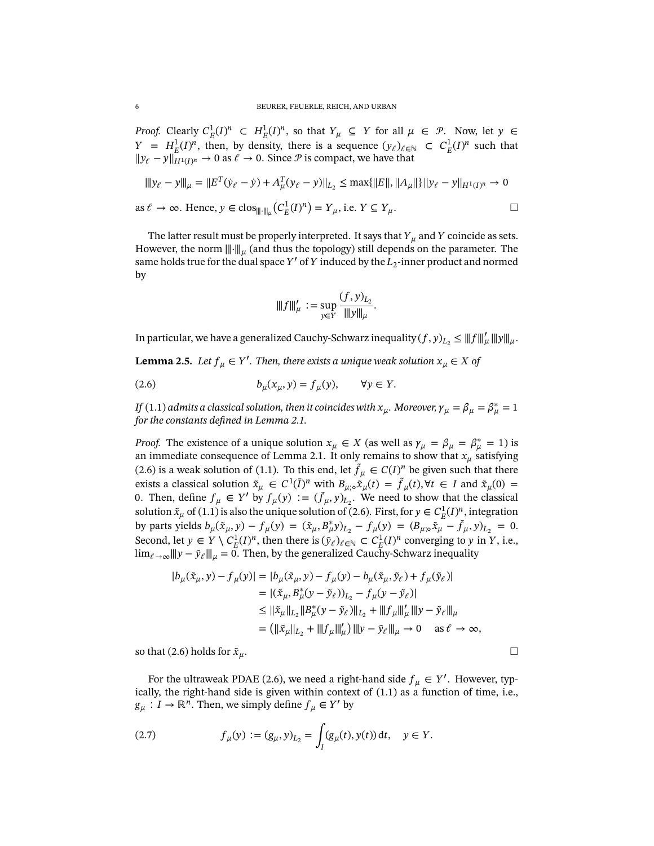*Proof.* Clearly  $C_E^1(I)^n \subset H_E^1(I)^n$ , so that  $Y_\mu \subseteq Y$  for all  $\mu \in \mathcal{P}$ . Now, let  $y \in$  $Y = H_E^1(I)^n$ , then, by density, there is a sequence  $(y_\ell)_{\ell \in \mathbb{N}} \subset C_E^1(I)^n$  such that  $||y_\ell - y||_{H^1(I)^n}$  → 0 as  $\ell \to 0$ . Since  $\mathcal P$  is compact, we have that

$$
|||y_{\ell} - y|||_{\mu} = ||E^T(\dot{y}_{\ell} - \dot{y}) + A_{\mu}^T(y_{\ell} - y)||_{L_2} \le \max\{||E||, ||A_{\mu}||\}||y_{\ell} - y||_{H^1(I)^n} \to 0
$$
  
as  $\ell \to \infty$ . Hence,  $y \in \text{clos}_{||\cdot||_{\mu}}(C_E^1(I)^n) = Y_{\mu}$ , i.e.  $Y \subseteq Y_{\mu}$ .

The latter result must be properly interpreted. It says that  $Y_{\mu}$  and  $Y$  coincide as sets. However, the norm  $\|\cdot\|_{\mu}$  (and thus the topology) still depends on the parameter. The same holds true for the dual space  $Y'$  of  $Y$  induced by the  $L_2$ -inner product and normed by

$$
\|f\|_{\mu}' := \sup_{y \in Y} \frac{(f, y)_{L_2}}{\|y\|_{\mu}}.
$$

In particular, we have a generalized Cauchy-Schwarz inequality  $(f, y)_{L_2} \leq ||f||'_{\mu} ||y||_{\mu}$ .

<span id="page-5-1"></span>**Lemma 2.5.** Let  $f_{\mu} \in Y'$ . Then, there exists a unique weak solution  $x_{\mu} \in X$  of

<span id="page-5-0"></span>(2.6) 
$$
b_{\mu}(x_{\mu}, y) = f_{\mu}(y), \quad \forall y \in Y.
$$

*If* [\(1.1\)](#page-1-1) admits a classical solution, then it coincides with  $x_\mu$ . Moreover,  $\gamma_\mu = \beta_\mu = \beta^*_\mu = 1$ *for the constants defined in Lemma [2.1.](#page-3-4)* 

*Proof.* The existence of a unique solution  $x_{\mu} \in X$  (as well as  $\gamma_{\mu} = \beta_{\mu} = \beta_{\mu}^* = 1$ ) is an immediate consequence of Lemma [2.1.](#page-3-4) It only remains to show that  $x_{\mu}$  satisfying [\(2.6\)](#page-5-0) is a weak solution of [\(1.1\)](#page-1-1). To this end, let  $\tilde{f}_\mu \in C(I)^n$  be given such that there exists a classical solution  $\tilde{x}_{\mu} \in C^1(\bar{I})^n$  with  $B_{\mu;\circ} \tilde{x}_{\mu}(t) = \tilde{f}_{\mu}(t), \forall t \in I$  and  $\tilde{x}_{\mu}(0) =$ 0. Then, define  $f_{\mu} \in Y'$  by  $f_{\mu}(y) := (\tilde{f}_{\mu}, y)_{L_2}$ . We need to show that the classical solution  $\tilde{x}_{\mu}$  of [\(1.1\)](#page-1-1) is also the unique solution of [\(2.6\)](#page-5-0). First, for  $y \in C_E^1(I)^n$ , integration by parts yields  $b_{\mu}(\tilde{x}_{\mu}, y) - f_{\mu}(y) = (\tilde{x}_{\mu}, B_{\mu}^{*}y)_{L_2} - f_{\mu}(y) = (B_{\mu,0}\tilde{x}_{\mu} - \tilde{f}_{\mu}, y)_{L_2} = 0.$ Second, let  $y \in Y \setminus C_E^1(I)^n$ , then there is  $(\tilde{y}_\ell)_{\ell \in \mathbb{N}} \subset C_E^1(I)^n$  converging to y in Y, i.e.,  $\lim_{\ell \to \infty} ||y - \tilde{y}_\ell|||_{\mu} = 0$ . Then, by the generalized Cauchy-Schwarz inequality

$$
|b_{\mu}(\tilde{x}_{\mu}, y) - f_{\mu}(y)| = |b_{\mu}(\tilde{x}_{\mu}, y) - f_{\mu}(y) - b_{\mu}(\tilde{x}_{\mu}, \tilde{y}_{\ell}) + f_{\mu}(\tilde{y}_{\ell})|
$$
  
\n
$$
= |(\tilde{x}_{\mu}, B_{\mu}^{*}(y - \tilde{y}_{\ell}))_{L_{2}} - f_{\mu}(y - \tilde{y}_{\ell})|
$$
  
\n
$$
\leq ||\tilde{x}_{\mu}||_{L_{2}} ||B_{\mu}^{*}(y - \tilde{y}_{\ell})||_{L_{2}} + |||f_{\mu}||_{\mu}' |||y - \tilde{y}_{\ell}||_{\mu}
$$
  
\n
$$
= (||\tilde{x}_{\mu}||_{L_{2}} + |||f_{\mu}||_{\mu}') |||y - \tilde{y}_{\ell}||_{\mu} \to 0 \quad \text{as } \ell \to \infty,
$$

so that [\(2.6\)](#page-5-0) holds for  $\tilde{x}_{\mu}$ .

For the ultraweak PDAE [\(2.6\)](#page-5-0), we need a right-hand side  $f_{\mu} \in Y'$ . However, typically, the right-hand side is given within context of [\(1.1\)](#page-1-1) as a function of time, i.e.,  $g_{\mu}: I \to \mathbb{R}^n$ . Then, we simply define  $f_{\mu} \in Y'$  by

<span id="page-5-2"></span>(2.7) 
$$
f_{\mu}(y) := (g_{\mu}, y)_{L_2} = \int_{I} (g_{\mu}(t), y(t)) dt, \quad y \in Y.
$$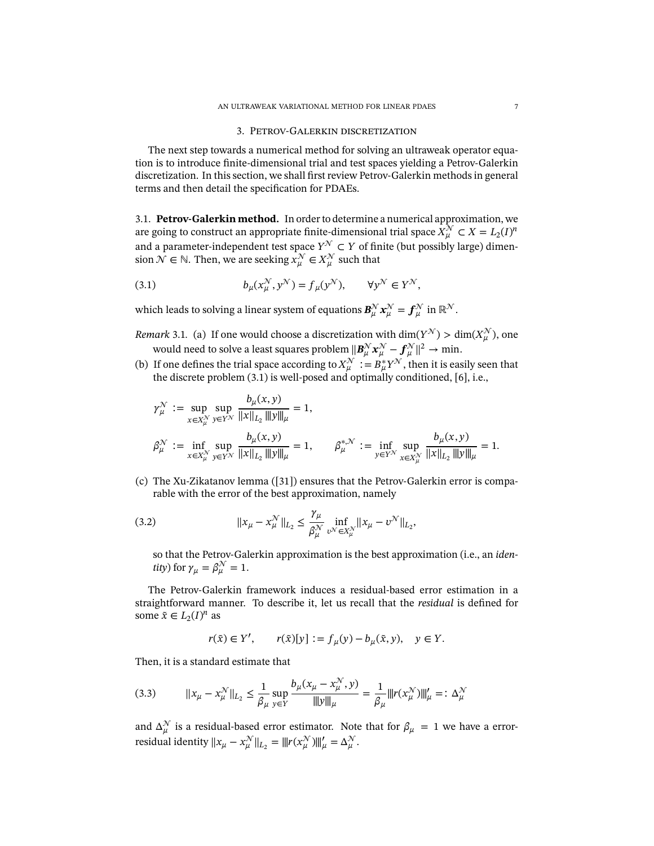#### 3. Petrov-Galerkin discretization

<span id="page-6-0"></span>The next step towards a numerical method for solving an ultraweak operator equation is to introduce finite-dimensional trial and test spaces yielding a Petrov-Galerkin discretization. In this section, we shall first review Petrov-Galerkin methods in general terms and then detail the specification for PDAEs.

<span id="page-6-4"></span>3.1. **Petrov-Galerkin method.** In order to determine a numerical approximation, we are going to construct an appropriate finite-dimensional trial space  $\bar{X^{\mathcal{N}}_{\mu}} \subset X = L_2(I)^n$ and a parameter-independent test space  $Y^{\mathcal{N}} \subset Y$  of finite (but possibly large) dimension  $\mathcal{N} \in \mathbb{N}$ . Then, we are seeking  $x_{\mu}^{\mathcal{N}} \in X_{\mu}^{\mathcal{N}}$  such that

<span id="page-6-1"></span>(3.1) 
$$
b_{\mu}(x_{\mu}^{\mathcal{N}}, y^{\mathcal{N}}) = f_{\mu}(y^{\mathcal{N}}), \qquad \forall y^{\mathcal{N}} \in Y^{\mathcal{N}},
$$

which leads to solving a linear system of equations  $\bm{B}_{\mu}^{\mathcal{N}}\bm{x}_{\mu}^{\mathcal{N}}=\bm{f}_{\mu}^{\mathcal{N}}$  in  $\mathbb{R}^{\mathcal{N}}.$ 

- <span id="page-6-2"></span>*Remark* 3.1. (a) If one would choose a discretization with  $\dim(Y^{\mathcal{N}}) > \dim(X^{\mathcal{N}}_{\mu})$ , one would need to solve a least squares problem  $\| \bm{B}_\mu^\mathcal{N} \bm{x}_\mu^\mathcal{N} - \bm{f}_\mu^\mathcal{N} \|^2 \to \text{min.}$
- (b) If one defines the trial space according to  $X_{\mu}^{\mathcal{N}} := B_{\mu}^* Y^{\mathcal{N}}$ , then it is easily seen that the discrete problem [\(3.1\)](#page-6-1) is well-posed and optimally conditioned, [\[6\]](#page-17-13), i.e.,

$$
\gamma_{\mu}^{\mathcal{N}} := \sup_{x \in X_{\mu}^{\mathcal{N}}} \sup_{y \in Y^{\mathcal{N}}} \frac{b_{\mu}(x, y)}{\|x\|_{L_2} \|y\|_{\mu}} = 1,
$$
  

$$
\beta_{\mu}^{\mathcal{N}} := \inf_{x \in X_{\mu}^{\mathcal{N}}} \sup_{y \in Y^{\mathcal{N}}} \frac{b_{\mu}(x, y)}{\|x\|_{L_2} \|y\|_{\mu}} = 1, \qquad \beta_{\mu}^{*, \mathcal{N}} := \inf_{y \in Y^{\mathcal{N}}} \sup_{x \in X_{\mu}^{\mathcal{N}}} \frac{b_{\mu}(x, y)}{\|x\|_{L_2} \|y\|_{\mu}} = 1.
$$

(c) The Xu-Zikatanov lemma ([\[31\]](#page-18-7)) ensures that the Petrov-Galerkin error is comparable with the error of the best approximation, namely

(3.2) 
$$
||x_{\mu} - x_{\mu}^{\mathcal{N}}||_{L_2} \leq \frac{\gamma_{\mu}}{\beta_{\mu}^{\mathcal{N}}} \inf_{v^{\mathcal{N}} \in X_{\mu}^{\mathcal{N}}} ||x_{\mu} - v^{\mathcal{N}}||_{L_2},
$$

so that the Petrov-Galerkin approximation is the best approximation (i.e., an *iden*tity) for  $\gamma_{\mu} = \beta_{\mu}^{\mathcal{N}} = 1$ .

The Petrov-Galerkin framework induces a residual-based error estimation in a straightforward manner. To describe it, let us recall that the *residual* is defined for some  $\tilde{x} \in L_2(I)^n$  as

$$
r(\tilde{x}) \in Y', \qquad r(\tilde{x})[y] := f_{\mu}(y) - b_{\mu}(\tilde{x}, y), \quad y \in Y.
$$

Then, it is a standard estimate that

<span id="page-6-3"></span>
$$
(3.3) \t||x_{\mu} - x_{\mu}^{\mathcal{N}}||_{L_{2}} \le \frac{1}{\beta_{\mu}} \sup_{y \in Y} \frac{b_{\mu}(x_{\mu} - x_{\mu}^{\mathcal{N}}, y)}{\|y\|_{\mu}} = \frac{1}{\beta_{\mu}} \|r(x_{\mu}^{\mathcal{N}})\|_{\mu}^{\prime} =: \Delta_{\mu}^{\mathcal{N}}
$$

and  $\Delta_{\mu}^{\mathcal{N}}$  is a residual-based error estimator. Note that for  $\beta_{\mu} = 1$  we have a errorresidual identity  $||x_{\mu} - x_{\mu}^{\mathcal{N}}||_{L_2} = |||r(x_{\mu}^{\mathcal{N}})||||'_{\mu} = \Delta_{\mu}^{\mathcal{N}}.$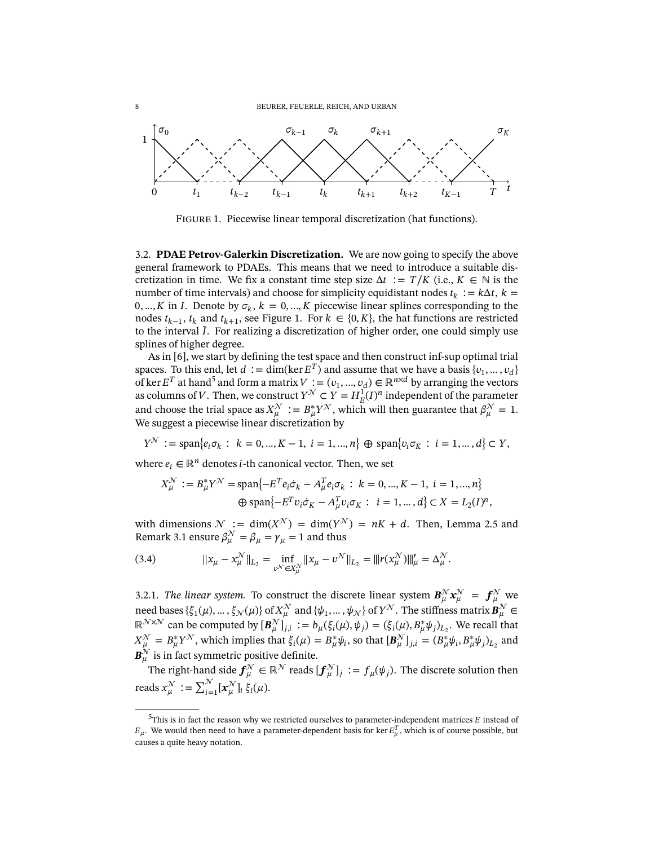<span id="page-7-0"></span>

FIGURE 1. Piecewise linear temporal discretization (hat functions).

<span id="page-7-2"></span>3.2. **PDAE Petrov-Galerkin Discretization.** We are now going to specify the above general framework to PDAEs. This means that we need to introduce a suitable discretization in time. We fix a constant time step size  $\Delta t := T/K$  (i.e.,  $K \in \mathbb{N}$  is the number of time intervals) and choose for simplicity equidistant nodes  $t_k := k\Delta t$ ,  $k =$ 0, ..., *K* in *I*. Denote by  $\sigma_k$ ,  $k = 0, ..., K$  piecewise linear splines corresponding to the nodes  $t_{k-1}$ ,  $t_k$  and  $t_{k+1}$ , see Figure [1.](#page-7-0) For  $k \in \{0, K\}$ , the hat functions are restricted to the interval  $\bar{I}$ . For realizing a discretization of higher order, one could simply use splines of higher degree.

As in [\[6\]](#page-17-13), we start by defining the test space and then construct inf-sup optimal trial spaces. To this end, let  $d := \dim(\ker E^T)$  and assume that we have a basis  $\{v_1, \dots, v_d\}$ of ker  $E^T$  at hand<sup>[5](#page-7-1)</sup> and form a matrix  $V := (v_1, ..., v_d) \in \mathbb{R}^{n \times d}$  by arranging the vectors as columns of V. Then, we construct  $Y^{\mathcal{N}} \subset Y = H_E^{\mathcal{I}}(I)^n$  independent of the parameter and choose the trial space as  $X^{\mathcal{N}}_{\mu} := B^*_{\mu} Y^{\mathcal{N}}$ , which will then guarantee that  $\beta^{\mathcal{N}}_{\mu} = 1$ . We suggest a piecewise linear discretization by

$$
Y^{\mathcal{N}} := \text{span}\{e_i \sigma_k : k = 0, ..., K - 1, i = 1, ..., n\} \oplus \text{span}\{v_i \sigma_K : i = 1, ..., d\} \subset Y,
$$

where  $e_i \in \mathbb{R}^n$  denotes *i*-th canonical vector. Then, we set

$$
X_{\mu}^{\mathcal{N}} := B_{\mu}^{*} Y^{\mathcal{N}} = \text{span}\{-E^{T} e_{i} \dot{\sigma}_{k} - A_{\mu}^{T} e_{i} \sigma_{k} : k = 0, ..., K - 1, i = 1, ..., n\}
$$
  

$$
\oplus \text{span}\{-E^{T} v_{i} \dot{\sigma}_{K} - A_{\mu}^{T} v_{i} \sigma_{K} : i = 1, ..., d\} \subset X = L_{2}(I)^{n},
$$

with dimensions  $\mathcal{N} := \dim(X^{\mathcal{N}}) = \dim(Y^{\mathcal{N}}) = nK + d$ . Then, Lemma [2.5](#page-5-1) and Remark [3.1](#page-6-2) ensure  $\beta_{\mu}^{\mathcal{N}} = \beta_{\mu} = \gamma_{\mu} = 1$  and thus

<span id="page-7-3"></span>(3.4) 
$$
||x_{\mu} - x_{\mu}^{\mathcal{N}}||_{L_2} = \inf_{v^{\mathcal{N}} \in X_{\mu}^{\mathcal{N}}} ||x_{\mu} - v^{\mathcal{N}}||_{L_2} = ||r(x_{\mu}^{\mathcal{N}})||_{\mu}^{\prime} = \Delta_{\mu}^{\mathcal{N}}.
$$

3.2.1. *The linear system*. To construct the discrete linear system  $B_{\mu}^{\mathcal{N}} x_{\mu}^{\mathcal{N}} = f_{\mu}^{\mathcal{N}}$  we need bases  $\{\xi_1(\mu),...,\xi_\mathcal{N}(\mu)\}$  of  $X^\mathcal{N}_\mu$  and  $\{\psi_1,...,\psi_\mathcal{N}\}$  of  $Y^\mathcal{N}$ . The stiffness matrix  $\bm{B}^\mathcal{N}_\mu \in$  $\mathbb{R}^{\mathcal{N}\times\mathcal{N}}$  can be computed by  $[\mathbf{B}_{\mu}^{\mathcal{N}}]_{j,i} := b_{\mu}(\xi_i(\mu), \psi_j) = (\xi_i(\mu), B_{\mu}^*\psi_j)_{L_2}$ . We recall that  $X^{\mathcal{N}}_{\mu} = B^*_{\mu} Y^{\mathcal{N}}$ , which implies that  $\xi_i(\mu) = B^*_{\mu} \psi_i$ , so that  $[B^{\mathcal{N}}_{\mu}]_{j,i} = (B^*_{\mu} \psi_i, B^*_{\mu} \psi_j)_{L_2}$  and  $\boldsymbol{B}_{\mu }^{\mathcal{N}}$  is in fact symmetric positive definite.

The right-hand side  $\bm{f}_{\mu}^{\mathcal{N}}\in\mathbb{R}^{\mathcal{N}}$  reads  $[\bm{f}_{\mu}^{\mathcal{N}}]_j:=f_{\mu}(\psi_j).$  The discrete solution then reads  $x_{\mu}^{\mathcal{N}} := \sum_{i=1}^{\mathcal{N}} [x_{\mu}^{\mathcal{N}}]_i \xi_i(\mu).$ 

<span id="page-7-1"></span> $^5$ This is in fact the reason why we restricted ourselves to parameter-independent matrices  $E$  instead of  $E_\mu$ . We would then need to have a parameter-dependent basis for ker  $E_\mu^T$ , which is of course possible, but causes a quite heavy notation.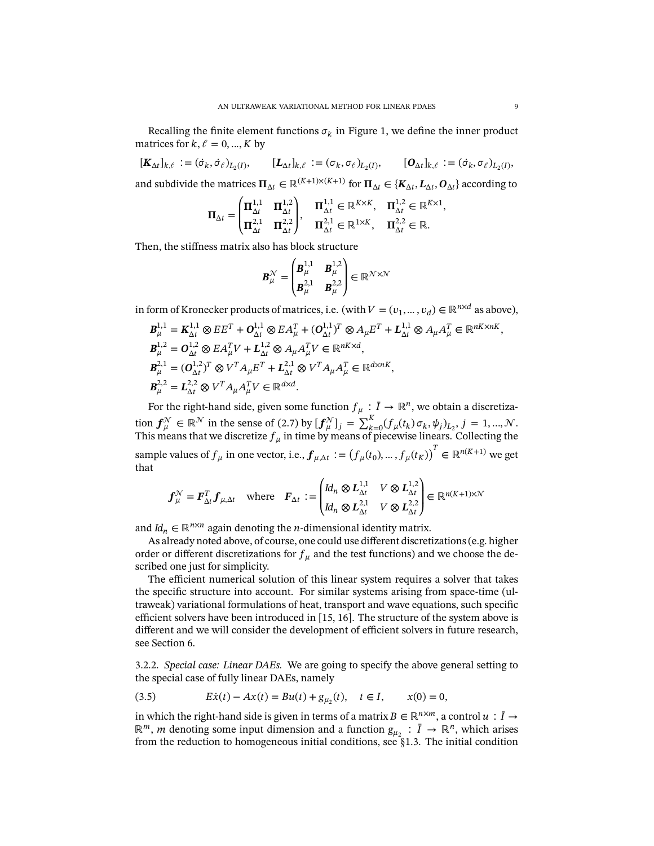Recalling the finite element functions  $\sigma_k$  in Figure [1,](#page-7-0) we define the inner product matrices for  $k, \ell = 0, ..., K$  by

 $[\mathbf{K}_{\Delta t}]_{k,\ell} := (\dot{\sigma}_k, \dot{\sigma}_\ell)_{L_2(I)}, \qquad [\mathbf{L}_{\Delta t}]_{k,\ell} := (\sigma_k, \sigma_\ell)_{L_2(I)}, \qquad [\mathbf{O}_{\Delta t}]_{k,\ell} := (\dot{\sigma}_k, \sigma_\ell)_{L_2(I)},$ and subdivide the matrices  $\Pi_{\Delta t}\in\mathbb{R}^{(K+1)\times(K+1)}$  for  $\Pi_{\Delta t}\in\{K_{\Delta t},L_{\Delta t},O_{\Delta t}\}$  according to

$$
\Pi_{\Delta t} = \begin{pmatrix} \Pi_{\Delta t}^{1,1} & \Pi_{\Delta t}^{1,2} \\ \Pi_{\Delta t}^{2,1} & \Pi_{\Delta t}^{2,2} \end{pmatrix}, \quad \Pi_{\Delta t}^{1,1} \in \mathbb{R}^{K \times K}, \quad \Pi_{\Delta t}^{1,2} \in \mathbb{R}^{K \times 1}
$$
\n
$$
\Pi_{\Delta t}^{2,1} = \Pi_{\Delta t}^{2,2} \in \mathbb{R}.
$$

Then, the stiffness matrix also has block structure

$$
\boldsymbol{B}_{\mu}^{\mathcal{N}} = \begin{pmatrix} \boldsymbol{B}_{\mu}^{1,1} & \boldsymbol{B}_{\mu}^{1,2} \\ \boldsymbol{B}_{\mu}^{2,1} & \boldsymbol{B}_{\mu}^{2,2} \end{pmatrix} \in \mathbb{R}^{\mathcal{N} \times \mathcal{N}}
$$

in form of Kronecker products of matrices, i.e. (with  $V = (v_1, ..., v_d) \in \mathbb{R}^{n \times d}$  as above),

$$
\begin{split} &\mathbf{B}_{\mu}^{1,1}=\mathbf{K}_{\Delta t}^{1,1}\otimes EE^{T}+\mathbf{O}_{\Delta t}^{1,1}\otimes EA_{\mu}^{T}+(\mathbf{O}_{\Delta t}^{1,1})^{T}\otimes A_{\mu}E^{T}+\mathbf{L}_{\Delta t}^{1,1}\otimes A_{\mu}A_{\mu}^{T}\in\mathbb{R}^{nK\times nK},\\ &\mathbf{B}_{\mu}^{1,2}=\mathbf{O}_{\Delta t}^{1,2}\otimes EA_{\mu}^{T}V+\mathbf{L}_{\Delta t}^{1,2}\otimes A_{\mu}A_{\mu}^{T}V\in\mathbb{R}^{nK\times d},\\ &\mathbf{B}_{\mu}^{2,1}=(\mathbf{O}_{\Delta t}^{1,2})^{T}\otimes V^{T}A_{\mu}E^{T}+\mathbf{L}_{\Delta t}^{2,1}\otimes V^{T}A_{\mu}A_{\mu}^{T}\in\mathbb{R}^{d\times nK},\\ &\mathbf{B}_{\mu}^{2,2}=\mathbf{L}_{\Delta t}^{2,2}\otimes V^{T}A_{\mu}A_{\mu}^{T}V\in\mathbb{R}^{d\times d}.\end{split}
$$

For the right-hand side, given some function  $f_{\mu}: \bar{I} \to \mathbb{R}^n$ , we obtain a discretization  $f_{\mu}^{\mathcal{N}} \in \mathbb{R}^{\mathcal{N}}$  in the sense of [\(2.7\)](#page-5-2) by  $[f_{\mu}^{\mathcal{N}}]_j = \sum_{k=0}^{K} (f_{\mu}(t_k) \sigma_k, \psi_j)_{L_2}, j = 1, ..., \mathcal{N}$ . This means that we discretize  $f_{\mu}$  in time by means of piecewise linears. Collecting the sample values of  $f_{\mu}$  in one vector, i.e.,  $\boldsymbol{f}_{\mu,\Delta t} := (f_{\mu}(t_0),...,f_{\mu}(t_K))^T \in \mathbb{R}^{n(K+1)}$  we get that

$$
\boldsymbol{f}_{\mu}^{\mathcal{N}} = \boldsymbol{F}_{\Delta t}^T \boldsymbol{f}_{\mu, \Delta t} \quad \text{where} \quad \boldsymbol{F}_{\Delta t} := \begin{pmatrix} Id_n \otimes \boldsymbol{L}_{\Delta t}^{1,1} & V \otimes \boldsymbol{L}_{\Delta t}^{1,2} \\ Id_n \otimes \boldsymbol{L}_{\Delta t}^{2,1} & V \otimes \boldsymbol{L}_{\Delta t}^{2,2} \end{pmatrix} \in \mathbb{R}^{n(K+1)\times \mathcal{N}}
$$

and  $Id_n \in \mathbb{R}^{n \times n}$  again denoting the *n*-dimensional identity matrix.

As already noted above, of course, one could use different discretizations (e.g. higher order or different discretizations for  $f_{\mu}$  and the test functions) and we choose the described one just for simplicity.

The efficient numerical solution of this linear system requires a solver that takes the specific structure into account. For similar systems arising from space-time (ultraweak) variational formulations of heat, transport and wave equations, such specific efficient solvers have been introduced in  $[15, 16]$  $[15, 16]$ . The structure of the system above is different and we will consider the development of efficient solvers in future research, see Section [6.](#page-16-0)

<span id="page-8-1"></span>3.2.2. *Special case: Linear DAEs.* We are going to specify the above general setting to the special case of fully linear DAEs, namely

<span id="page-8-0"></span>(3.5) 
$$
E\dot{x}(t) - Ax(t) = Bu(t) + g_{\mu_2}(t), \quad t \in I, \qquad x(0) = 0,
$$

in which the right-hand side is given in terms of a matrix  $B \in \mathbb{R}^{n \times m}$ , a control  $u : \overline{I} \to$ ℝ<sup>*m*</sup>, *m* denoting some input dimension and a function  $g_{\mu_2}$ :  $\bar{I}$  → ℝ<sup>*n*</sup>, which arises from the reduction to homogeneous initial conditions, see [§1.3.](#page-1-3) The initial condition

,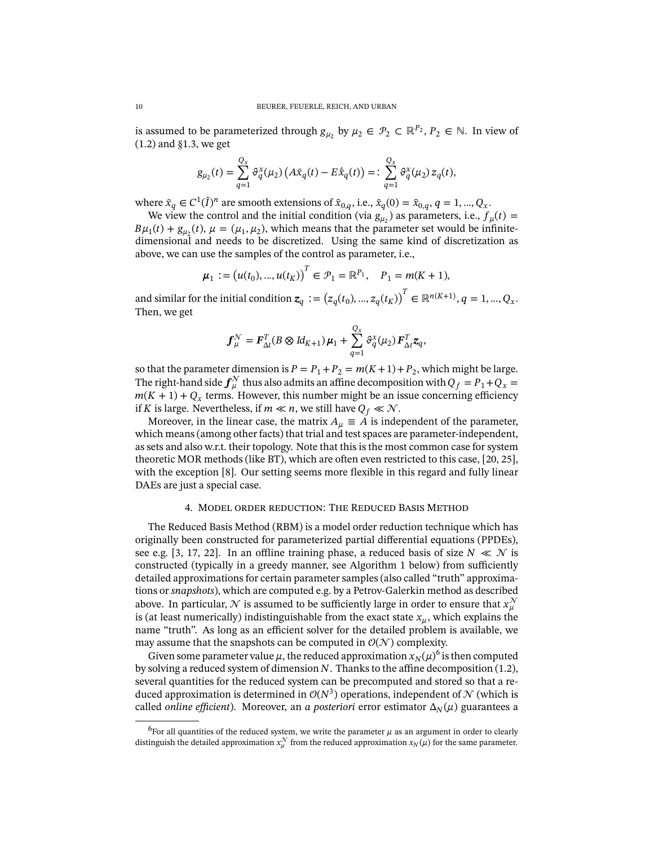is assumed to be parameterized through  $g_{\mu_2}$  by  $\mu_2 \in \mathcal{P}_2 \subset \mathbb{R}^{P_2}$ ,  $P_2 \in \mathbb{N}$ . In view of [\(1.2\)](#page-1-2) and [§1.3,](#page-1-3) we get

$$
g_{\mu_2}(t) = \sum_{q=1}^{Q_x} \vartheta_q^x(\mu_2) \left( A \bar{x}_q(t) - E \dot{\bar{x}}_q(t) \right) =: \sum_{q=1}^{Q_x} \vartheta_q^x(\mu_2) z_q(t),
$$

where  $\bar{x}_q \in C^1(\bar{I})^n$  are smooth extensions of  $\tilde{x}_{0,q}$ , i.e.,  $\bar{x}_q(0) = \tilde{x}_{0,q}$ ,  $q = 1, ..., Q_x$ .

We view the control and the initial condition (via  $g_{\mu_2}^{\{r\}}$ ) as parameters, i.e.,  $f_{\mu}(t)$  =  $B\mu_1(t) + g_{\mu_2}(t), \mu = (\mu_1, \mu_2)$ , which means that the parameter set would be infinitedimensional and needs to be discretized. Using the same kind of discretization as above, we can use the samples of the control as parameter, i.e.,

$$
\boldsymbol{\mu}_1 := (u(t_0), ..., u(t_K))^T \in \mathcal{P}_1 = \mathbb{R}^{P_1}, \quad P_1 = m(K+1),
$$

and similar for the initial condition  $\boldsymbol{z}_q := \left( z_q(t_0), ..., z_q(t_K) \right)^T \in \mathbb{R}^{n(K+1)}, q = 1, ..., Q_x.$ Then, we get

$$
\boldsymbol{f}_{\mu}^{\mathcal{N}} = \boldsymbol{F}_{\Delta t}^{T} (B \otimes \mathrm{Id}_{K+1}) \boldsymbol{\mu}_{1} + \sum_{q=1}^{Q_{X}} \vartheta_{q}^{X}(\mu_{2}) \boldsymbol{F}_{\Delta t}^{T} \boldsymbol{z}_{q},
$$

so that the parameter dimension is  $P = P_1 + P_2 = m(K+1) + P_2$ , which might be large. The right-hand side  $f^{\mathcal{N}}_{\mu}$  thus also admits an affine decomposition with  $Q_f = P_1 + Q_x =$  $m(K + 1) + Q_x$  terms. However, this number might be an issue concerning efficiency if K is large. Nevertheless, if  $m \ll n$ , we still have  $Q_f \ll \mathcal{N}$ .

Moreover, in the linear case, the matrix  $A_{\mu} \equiv A$  is independent of the parameter, which means (among other facts) that trial and test spaces are parameter-independent, as sets and also w.r.t. their topology. Note that this is the most common case for system theoretic MOR methods (like BT), which are often even restricted to this case, [\[20,](#page-18-3) [25\]](#page-18-4), with the exception [\[8\]](#page-17-5). Our setting seems more flexible in this regard and fully linear DAEs are just a special case.

### 4. Model order reduction: The Reduced Basis Method

<span id="page-9-0"></span>The Reduced Basis Method (RBM) is a model order reduction technique which has originally been constructed for parameterized partial differential equations (PPDEs), see e.g. [\[3,](#page-17-3) [17,](#page-17-8) [22\]](#page-18-8). In an offline training phase, a reduced basis of size  $N \ll N$  is constructed (typically in a greedy manner, see Algorithm [1](#page-11-1) below) from sufficiently detailed approximations for certain parameter samples (also called "truth" approximations or *snapshots*), which are computed e.g. by a Petrov-Galerkin method as described above. In particular,  ${\mathcal N}$  is assumed to be sufficiently large in order to ensure that  $x_\mu^{\mathcal N}$ is (at least numerically) indistinguishable from the exact state  $x_{\mu}$ , which explains the name "truth". As long as an efficient solver for the detailed problem is available, we may assume that the snapshots can be computed in  $\mathcal{O}(\mathcal{N})$  complexity.

Given some parameter value  $\mu$ , the reduced approximation  $x_N(\mu)^6$  $x_N(\mu)^6$  is then computed by solving a reduced system of dimension  $N$ . Thanks to the affine decomposition [\(1.2\)](#page-1-2), several quantities for the reduced system can be precomputed and stored so that a reduced approximation is determined in  $\mathcal{O}(N^3)$  operations, independent of  $\mathcal N$  (which is called *online efficient*). Moreover, an *a posteriori* error estimator  $\Delta_N(\mu)$  guarantees a

<span id="page-9-1"></span><sup>&</sup>lt;sup>6</sup>For all quantities of the reduced system, we write the parameter  $\mu$  as an argument in order to clearly distinguish the detailed approximation  $x_\mu^\mathcal{N}$  from the reduced approximation  $x_N(\mu)$  for the same parameter.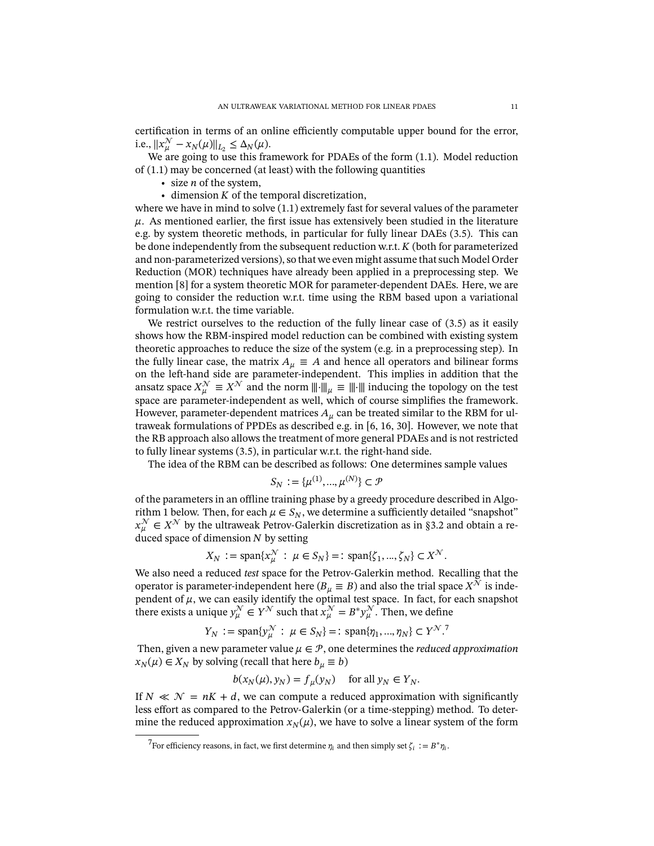certification in terms of an online efficiently computable upper bound for the error, i.e.,  $||x_{\mu}^{\mathcal{N}} - x_{N}(\mu)||_{L_{2}} \leq \Delta_{N}(\mu)$ .

We are going to use this framework for PDAEs of the form [\(1.1\)](#page-1-1). Model reduction of [\(1.1\)](#page-1-1) may be concerned (at least) with the following quantities

- size  $n$  of the system,
- $\bullet$  dimension  $K$  of the temporal discretization,

where we have in mind to solve [\(1.1\)](#page-1-1) extremely fast for several values of the parameter  $\mu$ . As mentioned earlier, the first issue has extensively been studied in the literature e.g. by system theoretic methods, in particular for fully linear DAEs [\(3.5\)](#page-8-0). This can be done independently from the subsequent reduction w.r.t.  $K$  (both for parameterized and non-parameterized versions), so that we even might assume that such Model Order Reduction (MOR) techniques have already been applied in a preprocessing step. We mention [\[8\]](#page-17-5) for a system theoretic MOR for parameter-dependent DAEs. Here, we are going to consider the reduction w.r.t. time using the RBM based upon a variational formulation w.r.t. the time variable.

We restrict ourselves to the reduction of the fully linear case of [\(3.5\)](#page-8-0) as it easily shows how the RBM-inspired model reduction can be combined with existing system theoretic approaches to reduce the size of the system (e.g. in a preprocessing step). In the fully linear case, the matrix  $A_{\mu} \equiv A$  and hence all operators and bilinear forms on the left-hand side are parameter-independent. This implies in addition that the ansatz space  $X_{\mu}^{\mathcal{N}} \equiv X^{\mathcal{N}}$  and the norm  $\|\cdot\|_{\mu} \equiv \|\cdot\|$  inducing the topology on the test space are parameter-independent as well, which of course simplifies the framework. However, parameter-dependent matrices  $A_{\mu}$  can be treated similar to the RBM for ultraweak formulations of PPDEs as described e.g. in [\[6,](#page-17-13) [16,](#page-17-14) [30\]](#page-18-6). However, we note that the RB approach also allows the treatment of more general PDAEs and is not restricted to fully linear systems [\(3.5\)](#page-8-0), in particular w.r.t. the right-hand side.

The idea of the RBM can be described as follows: One determines sample values

$$
S_N := \{ \mu^{(1)}, ..., \mu^{(N)} \} \subset \mathcal{P}
$$

of the parameters in an offline training phase by a greedy procedure described in Algo-rithm [1](#page-11-1) below. Then, for each  $\mu \in S_N$ , we determine a sufficiently detailed "snapshot"  $x_{\mu}^{\mathcal{N}} \in X^{\mathcal{N}}$  by the ultraweak Petrov-Galerkin discretization as in [§3.2](#page-7-2) and obtain a reduced space of dimension  *by setting* 

$$
X_N := \text{span}\{x_{\mu}^{\mathcal{N}} : \mu \in S_N\} =: \text{span}\{\zeta_1, ..., \zeta_N\} \subset X^{\mathcal{N}}.
$$

We also need a reduced *test* space for the Petrov-Galerkin method. Recalling that the operator is parameter-independent here ( $B_\mu \equiv B$ ) and also the trial space  $X^{\bar{\mathcal{N}}}$  is independent of  $\mu$ , we can easily identify the optimal test space. In fact, for each snapshot there exists a unique  $y_{\mu}^{\mathcal{N}} \in Y^{\mathcal{N}}$  such that  $x_{\mu}^{\mathcal{N}} = B^* y_{\mu}^{\mathcal{N}}$ . Then, we define

$$
Y_N := \text{span}\{y^{\mathcal{N}}_{\mu} : \mu \in S_N\} =: \text{span}\{\eta_1, ..., \eta_N\} \subset Y^{\mathcal{N}}.
$$

Then, given a new parameter value  $\mu \in \mathcal{P}$ , one determines the *reduced approximation*  $x_N(\mu) \in X_N$  by solving (recall that here  $b_\mu \equiv b$ )

$$
b(x_N(\mu), y_N) = f_{\mu}(y_N) \quad \text{ for all } y_N \in Y_N.
$$

If  $N \ll N = nK + d$ , we can compute a reduced approximation with significantly less effort as compared to the Petrov-Galerkin (or a time-stepping) method. To determine the reduced approximation  $x_N(\mu)$ , we have to solve a linear system of the form

<span id="page-10-0"></span><sup>&</sup>lt;sup>7</sup>For efficiency reasons, in fact, we first determine  $\eta_i$  and then simply set  $\zeta_i := B^* \eta_i$ .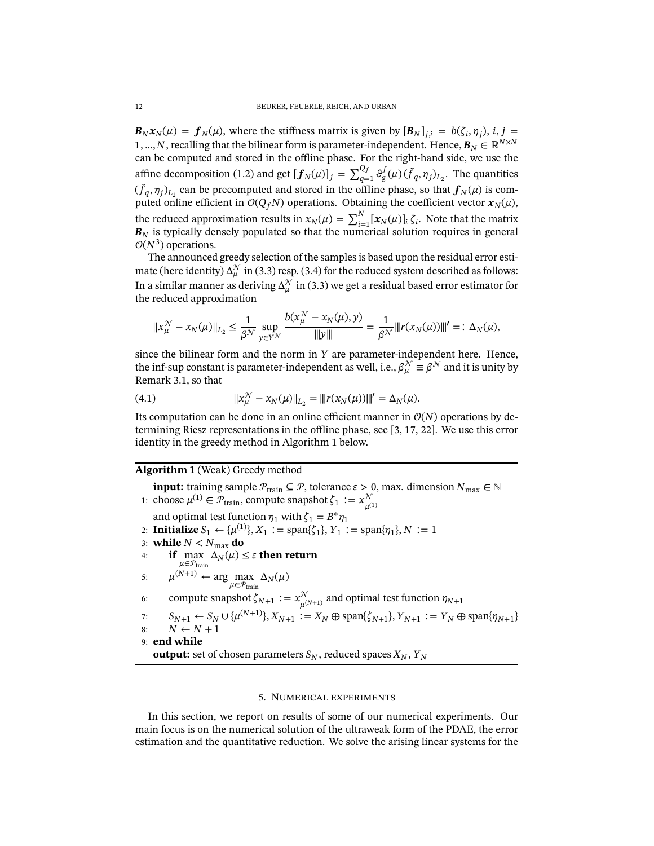$\mathbf{B}_N \mathbf{x}_N(\mu) = \mathbf{f}_N(\mu)$ , where the stiffness matrix is given by  $[\mathbf{B}_N]_{j,i} = b(\zeta_i, \eta_j)$ , i, j = 1, ..., *N*, recalling that the bilinear form is parameter-independent. Hence,  $B_N \in \mathbb{R}^{N \times N}$ can be computed and stored in the offline phase. For the right-hand side, we use the affine decomposition [\(1.2\)](#page-1-2) and get  $[f_N(\mu)]_j = \sum_{q=1}^{Q_f} \vartheta_g^f(\mu) (\tilde{f}_q, \eta_j)_{L_2}$ . The quantities  $(\tilde{f}_q, \eta_j)_{L_2}$  can be precomputed and stored in the offline phase, so that  $f_N(\mu)$  is computed online efficient in  $O(Q_f N)$  operations. Obtaining the coefficient vector  $\mathbf{x}_N(\mu)$ , the reduced approximation results in  $x_N(\mu) = \sum_{i=1}^N [x_N(\mu)]_i \zeta_i$ . Note that the matrix  **is typically densely populated so that the numerical solution requires in general**  $O(N^3)$  operations.

The announced greedy selection of the samples is based upon the residual error estimate (here identity)  $\Delta_{\mu}^{\mathcal{N}}$  in [\(3.3\)](#page-6-3) resp. [\(3.4\)](#page-7-3) for the reduced system described as follows: In a similar manner as deriving  $\Delta_\mu^{\mathcal{N}}$  in [\(3.3\)](#page-6-3) we get a residual based error estimator for the reduced approximation

$$
||x_{\mu}^{\mathcal{N}} - x_{N}(\mu)||_{L_{2}} \leq \frac{1}{\beta^{\mathcal{N}}} \sup_{y \in Y^{\mathcal{N}}} \frac{b(x_{\mu}^{\mathcal{N}} - x_{N}(\mu), y)}{||y||_{2}} = \frac{1}{\beta^{\mathcal{N}}} ||r(x_{N}(\mu))||_{2}^{2} =: \Delta_{N}(\mu),
$$

since the bilinear form and the norm in  $Y$  are parameter-independent here. Hence, the inf-sup constant is parameter-independent as well, i.e.,  $\beta_\mu^\mathcal{N} \equiv \beta^\mathcal{N}$  and it is unity by Remark [3.1,](#page-6-2) so that

(4.1) 
$$
||x_{\mu}^{\mathcal{N}} - x_{N}(\mu)||_{L_{2}} = |||r(x_{N}(\mu))|||' = \Delta_{N}(\mu).
$$

Its computation can be done in an online efficient manner in  $\mathcal{O}(N)$  operations by determining Riesz representations in the offline phase, see  $[3, 17, 22]$  $[3, 17, 22]$  $[3, 17, 22]$ . We use this error identity in the greedy method in Algorithm [1](#page-11-1) below.

# <span id="page-11-1"></span>**Algorithm 1** (Weak) Greedy method

**input:** training sample  $\mathcal{P}_{\text{train}} \subseteq \mathcal{P}$ , tolerance  $\varepsilon > 0$ , max. dimension  $N_{\text{max}} \in \mathbb{N}$ 1: choose  $\mu^{(1)} \in \mathcal{P}_{\text{train}}$ , compute snapshot  $\zeta_1 := x_{\mu}^{\mathcal{N}}$  $\mu^{(1)}$ and optimal test function  $\eta_1$  with  $\zeta_1 = B^* \eta_1$ 2: **Initialize**  $S_1 \leftarrow {\{\mu^{(1)}\}, X_1 := \text{span}\{\zeta_1\}, Y_1 := \text{span}\{\eta_1\}, N := 1$ 3: **while**  $N < N_{\text{max}}$  do 4: **if** max  $\Delta_N(\mu)$  ≤ ε **then return**  $\mu \widehat{\in} \mathcal{P}_{\text{train}}$ 5:  $\mu^{(N+1)} \leftarrow \arg \max_{\mu \in \mathcal{P}_{\text{train}}} \Delta_N(\mu)$ 6: compute snapshot  $\zeta_{N+1} := x_{\mu^{(N+1)}}^{\mathcal{N}}$  and optimal test function  $\eta_{N+1}$ 7:  $S_{N+1} \leftarrow S_N \cup \{\mu^{(N+1)}\}, X_{N+1} := X_N \oplus \text{span}\{\zeta_{N+1}\}, Y_{N+1} := Y_N \oplus \text{span}\{\eta_{N+1}\}$ 8:  $N \leftarrow N + 1$ 9: **end while output:** set of chosen parameters  $S_N$ , reduced spaces  $X_N$ ,  $Y_N$ 

## 5. Numerical experiments

<span id="page-11-0"></span>In this section, we report on results of some of our numerical experiments. Our main focus is on the numerical solution of the ultraweak form of the PDAE, the error estimation and the quantitative reduction. We solve the arising linear systems for the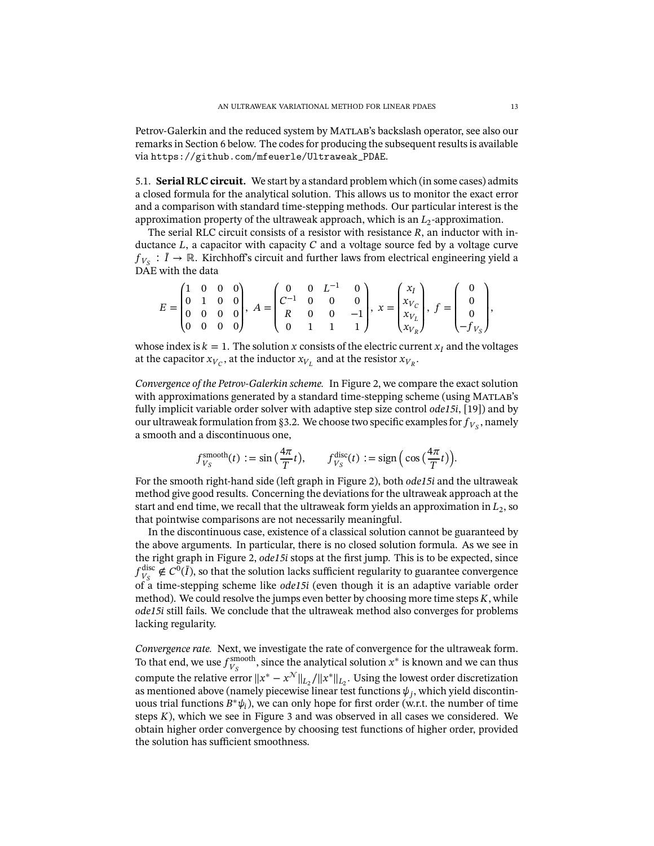Petrov-Galerkin and the reduced system by Matlab's backslash operator, see also our remarks in Section [6](#page-16-0) below. The codes for producing the subsequent results is available via [https://github.com/mfeuerle/Ultraweak\\_PDAE](https://github.com/mfeuerle/Ultraweak_PDAE).

5.1. **Serial RLC circuit.** We start by a standard problem which (in some cases) admits a closed formula for the analytical solution. This allows us to monitor the exact error and a comparison with standard time-stepping methods. Our particular interest is the approximation property of the ultraweak approach, which is an  $L_2$ -approximation.

The serial RLC circuit consists of a resistor with resistance  $R$ , an inductor with inductance  $L$ , a capacitor with capacity  $C$  and a voltage source fed by a voltage curve  $f_{V_S} : \overline{I} \to \mathbb{R}$ . Kirchhoff's circuit and further laws from electrical engineering yield a DAE with the data

$$
E = \begin{pmatrix} 1 & 0 & 0 & 0 \\ 0 & 1 & 0 & 0 \\ 0 & 0 & 0 & 0 \\ 0 & 0 & 0 & 0 \end{pmatrix}, A = \begin{pmatrix} 0 & 0 & L^{-1} & 0 \\ C^{-1} & 0 & 0 & 0 \\ R & 0 & 0 & -1 \\ 0 & 1 & 1 & 1 \end{pmatrix}, x = \begin{pmatrix} x_I \\ x_{V_C} \\ x_{V_L} \\ x_{V_R} \end{pmatrix}, f = \begin{pmatrix} 0 \\ 0 \\ 0 \\ -f_{V_S} \end{pmatrix},
$$

whose index is  $k = 1$ . The solution x consists of the electric current  $x_I$  and the voltages at the capacitor  $x_{V_C}$ , at the inductor  $x_{V_L}$  and at the resistor  $x_{V_R}$ .

*Convergence of the Petrov-Galerkin scheme.* In Figure [2,](#page-13-0) we compare the exact solution with approximations generated by a standard time-stepping scheme (using MATLAB's fully implicit variable order solver with adaptive step size control *ode15i*, [\[19\]](#page-18-9)) and by our ultraweak formulation from [§3.2.](#page-7-2) We choose two specific examples for  $f_{V_s}$ , namely a smooth and a discontinuous one,

$$
f_{V_S}^{\text{smooth}}(t) := \sin\left(\frac{4\pi}{T}t\right), \qquad f_{V_S}^{\text{disc}}(t) := \text{sign}\left(\cos\left(\frac{4\pi}{T}t\right)\right).
$$

For the smooth right-hand side (left graph in Figure [2\)](#page-13-0), both *ode15i* and the ultraweak method give good results. Concerning the deviations for the ultraweak approach at the start and end time, we recall that the ultraweak form yields an approximation in  $L_{2}$ , so that pointwise comparisons are not necessarily meaningful.

In the discontinuous case, existence of a classical solution cannot be guaranteed by the above arguments. In particular, there is no closed solution formula. As we see in the right graph in Figure [2,](#page-13-0) *ode15i* stops at the first jump. This is to be expected, since  $f_{V_c}^{\text{disc}}$  $_{V_S}^{\text{disc}} \notin C^0(\bar{I})$ , so that the solution lacks sufficient regularity to guarantee convergence of a time-stepping scheme like *ode15i* (even though it is an adaptive variable order method). We could resolve the jumps even better by choosing more time steps  $K$ , while *ode15i* still fails. We conclude that the ultraweak method also converges for problems lacking regularity.

*Convergence rate.* Next, we investigate the rate of convergence for the ultraweak form. To that end, we use  $f_{V_{\alpha}}^{\text{smooth}}$ <sup>smooth</sup>, since the analytical solution  $x^*$  is known and we can thus compute the relative error  $||x^* - x^{\mathcal{N}}||_{L_2}/||x^*||_{L_2}$ . Using the lowest order discretization as mentioned above (namely piecewise linear test functions  $\psi_j$ , which yield discontinuous trial functions  $B^*\psi_i$ ), we can only hope for first order (w.r.t. the number of time steps  $K$ ), which we see in Figure [3](#page-13-1) and was observed in all cases we considered. We obtain higher order convergence by choosing test functions of higher order, provided the solution has sufficient smoothness.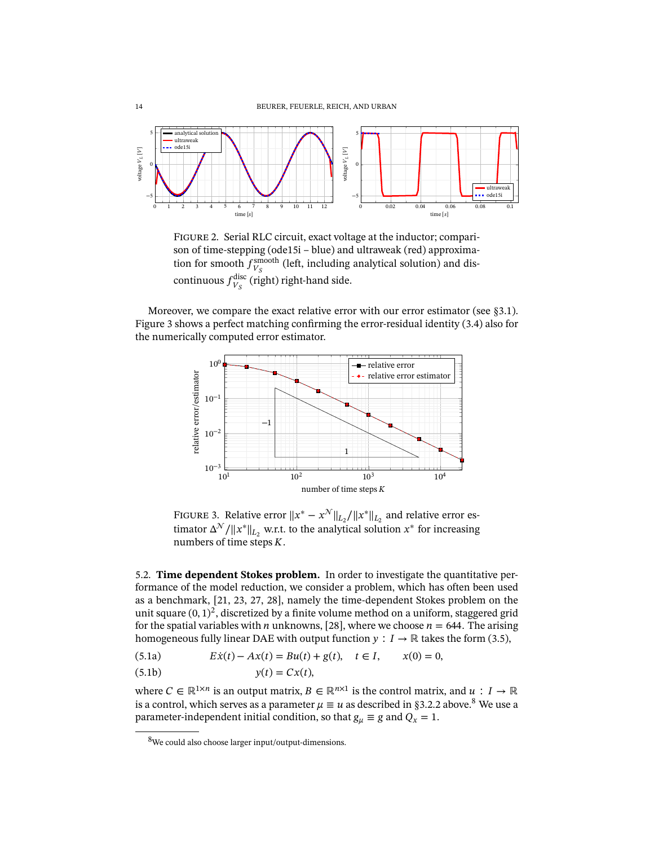<span id="page-13-0"></span>

Figure 2. Serial RLC circuit, exact voltage at the inductor; comparison of time-stepping (ode15i – blue) and ultraweak (red) approximation for smooth  $f_{V_c}^{\text{smooth}}$  $_{V_S}^{\text{smooth}}$  (left, including analytical solution) and discontinuous  $f_{V_a}^{\text{disc}}$  $_{V_S}^{\text{disc}}$  (right) right-hand side.

<span id="page-13-1"></span>Moreover, we compare the exact relative error with our error estimator (see [§3.1\)](#page-6-4). Figure [3](#page-13-1) shows a perfect matching confirming the error-residual identity [\(3.4\)](#page-7-3) also for the numerically computed error estimator.



FIGURE 3. Relative error  $||x^* - x^{\mathcal{N}}||_{L_2}/||x^*||_{L_2}$  and relative error estimator  $\Delta^{\mathcal{N}}/||x^*||_{L_2}$  w.r.t. to the analytical solution  $x^*$  for increasing numbers of time steps  $K$ .

5.2. **Time dependent Stokes problem.** In order to investigate the quantitative performance of the model reduction, we consider a problem, which has often been used as a benchmark, [\[21,](#page-18-10) [23,](#page-18-11) [27,](#page-18-12) [28\]](#page-18-13), namely the time-dependent Stokes problem on the unit square  $(0, 1)^2$ , discretized by a finite volume method on a uniform, staggered grid for the spatial variables with *n* unknowns, [\[28\]](#page-18-13), where we choose  $n = 644$ . The arising homogeneous fully linear DAE with output function  $y : I \to \mathbb{R}$  takes the form [\(3.5\)](#page-8-0),

<span id="page-13-3"></span>(5.1a) 
$$
E\dot{x}(t) - Ax(t) = Bu(t) + g(t), \quad t \in I, \qquad x(0) = 0,
$$

$$
(5.1b) \t\t y(t) = Cx(t),
$$

where  $C \in \mathbb{R}^{1 \times n}$  is an output matrix,  $B \in \mathbb{R}^{n \times 1}$  is the control matrix, and  $u : I \to \mathbb{R}$ is a control, which serves as a parameter  $\mu \equiv u$  as described in [§3.2.2](#page-8-1) above.<sup>[8](#page-13-2)</sup> We use a parameter-independent initial condition, so that  $g_{\mu} \equiv g$  and  $Q_{x} = 1$ .

<span id="page-13-2"></span><sup>8</sup>We could also choose larger input/output-dimensions.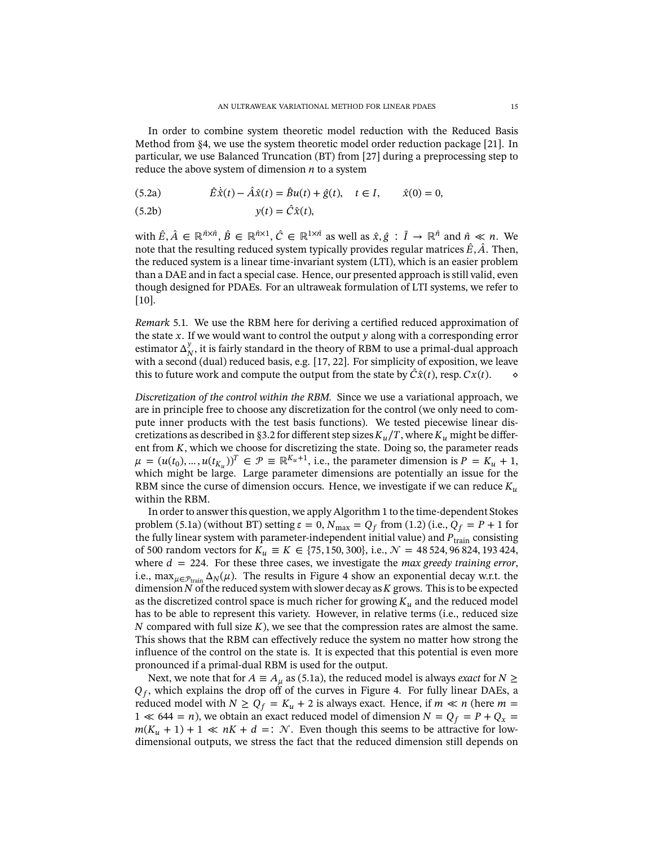In order to combine system theoretic model reduction with the Reduced Basis Method from [§4,](#page-9-0) we use the system theoretic model order reduction package [\[21\]](#page-18-10). In particular, we use Balanced Truncation (BT) from [\[27\]](#page-18-12) during a preprocessing step to reduce the above system of dimension  $n$  to a system

<span id="page-14-0"></span>(5.2a) 
$$
\hat{E}\dot{\hat{x}}(t) - \hat{A}\hat{x}(t) = \hat{B}u(t) + \hat{g}(t), \quad t \in I, \qquad \hat{x}(0) = 0,
$$

$$
(5.2b) \t\t y(t) = \hat{C}\hat{x}(t),
$$

with  $\hat{E}, \hat{A} \in \mathbb{R}^{\hat{n} \times \hat{n}}, \hat{B} \in \mathbb{R}^{\hat{n} \times 1}, \hat{C} \in \mathbb{R}^{1 \times \hat{n}}$  as well as  $\hat{x}, \hat{g} : \overline{I} \to \mathbb{R}^{\hat{n}}$  and  $\hat{n} \ll n$ . We note that the resulting reduced system typically provides regular matrices  $\hat{E}$ ,  $\hat{A}$ . Then, the reduced system is a linear time-invariant system (LTI), which is an easier problem than a DAE and in fact a special case. Hence, our presented approach is still valid, even though designed for PDAEs. For an ultraweak formulation of LTI systems, we refer to [\[10\]](#page-17-6).

*Remark* 5.1. We use the RBM here for deriving a certified reduced approximation of the state  $x$ . If we would want to control the output  $y$  along with a corresponding error estimator  $\Delta_N^y$  $_N^y$ , it is fairly standard in the theory of RBM to use a primal-dual approach with a second (dual) reduced basis, e.g. [\[17,](#page-17-8) [22\]](#page-18-8). For simplicity of exposition, we leave this to future work and compute the output from the state by  $\hat{C}\hat{x}(t)$ , resp.  $Cx(t)$ .

*Discretization of the control within the RBM.* Since we use a variational approach, we are in principle free to choose any discretization for the control (we only need to compute inner products with the test basis functions). We tested piecewise linear dis-cretizations as described in [§3.2](#page-7-2) for different step sizes  $K_u/T$ , where  $K_u$  might be different from  $K$ , which we choose for discretizing the state. Doing so, the parameter reads  $\mu = (u(t_0), ..., u(t_{K_u}))^T \in \mathcal{P} \equiv \mathbb{R}^{K_u+1}$ , i.e., the parameter dimension is  $P = K_u + 1$ , which might be large. Large parameter dimensions are potentially an issue for the RBM since the curse of dimension occurs. Hence, we investigate if we can reduce  $K_u$ within the RBM.

In order to answer this question, we apply Algorithm [1](#page-11-1) to the time-dependent Stokes problem [\(5.1a\)](#page-13-3) (without BT) setting  $\varepsilon = 0$ ,  $N_{\text{max}} = Q_f$  from [\(1.2\)](#page-1-2) (i.e.,  $Q_f = P + 1$  for the fully linear system with parameter-independent initial value) and  $P_{\text{train}}$  consisting of 500 random vectors for  $K_u \equiv K \in \{75, 150, 300\}$ , i.e.,  $\mathcal{N} = 48524, 96824, 193424$ , where  $d = 224$ . For these three cases, we investigate the *max greedy training error*, i.e., max  $\mu \in \mathcal{P}_{train} \Delta_N(\mu)$ . The results in Figure [4](#page-15-0) show an exponential decay w.r.t. the dimension  $N$  of the reduced system with slower decay as  $K$  grows. This is to be expected as the discretized control space is much richer for growing  $K_u$  and the reduced model has to be able to represent this variety. However, in relative terms (i.e., reduced size  $N$  compared with full size  $K$ ), we see that the compression rates are almost the same. This shows that the RBM can effectively reduce the system no matter how strong the influence of the control on the state is. It is expected that this potential is even more pronounced if a primal-dual RBM is used for the output.

Next, we note that for  $A \equiv A_u$  as [\(5.1a\)](#page-13-3), the reduced model is always *exact* for  $N \geq$  $Q_f$ , which explains the drop off of the curves in Figure [4.](#page-15-0) For fully linear DAEs, a reduced model with  $N \ge Q_f = K_u + 2$  is always exact. Hence, if  $m \ll n$  (here  $m =$  $1 \ll 644 = n$ ), we obtain an exact reduced model of dimension  $N = Q_f = P + Q_x =$  $m(K_u + 1) + 1 \ll nK + d =: \mathcal{N}$ . Even though this seems to be attractive for lowdimensional outputs, we stress the fact that the reduced dimension still depends on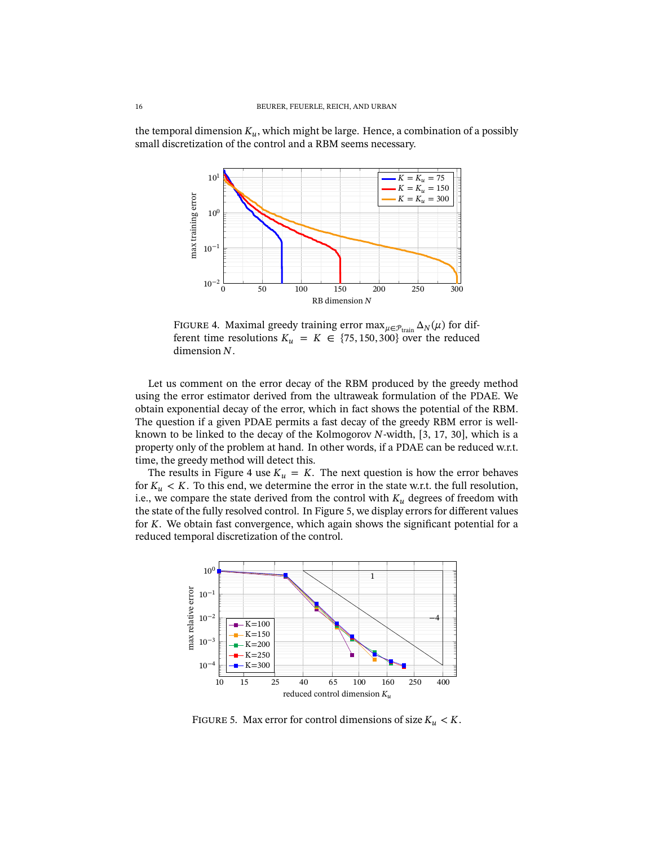<span id="page-15-0"></span>the temporal dimension  $K_u$ , which might be large. Hence, a combination of a possibly small discretization of the control and a RBM seems necessary.



FIGURE 4. Maximal greedy training error  $\max_{\mu \in \mathcal{P}_{\text{train}}} \Delta_N(\mu)$  for different time resolutions  $K_u = K \in \{75, 150, 300\}$  over the reduced dimension  $N$ .

Let us comment on the error decay of the RBM produced by the greedy method using the error estimator derived from the ultraweak formulation of the PDAE. We obtain exponential decay of the error, which in fact shows the potential of the RBM. The question if a given PDAE permits a fast decay of the greedy RBM error is wellknown to be linked to the decay of the Kolmogorov  $N$ -width, [\[3,](#page-17-3) [17,](#page-17-8) [30\]](#page-18-6), which is a property only of the problem at hand. In other words, if a PDAE can be reduced w.r.t. time, the greedy method will detect this.

The results in Figure [4](#page-15-0) use  $K_u = K$ . The next question is how the error behaves for  $K_u < K$ . To this end, we determine the error in the state w.r.t. the full resolution, i.e., we compare the state derived from the control with  $K_u$  degrees of freedom with the state of the fully resolved control. In Figure [5,](#page-15-1) we display errors for different values for  $K$ . We obtain fast convergence, which again shows the significant potential for a reduced temporal discretization of the control.

<span id="page-15-1"></span>

FIGURE 5. Max error for control dimensions of size  $K_u < K$ .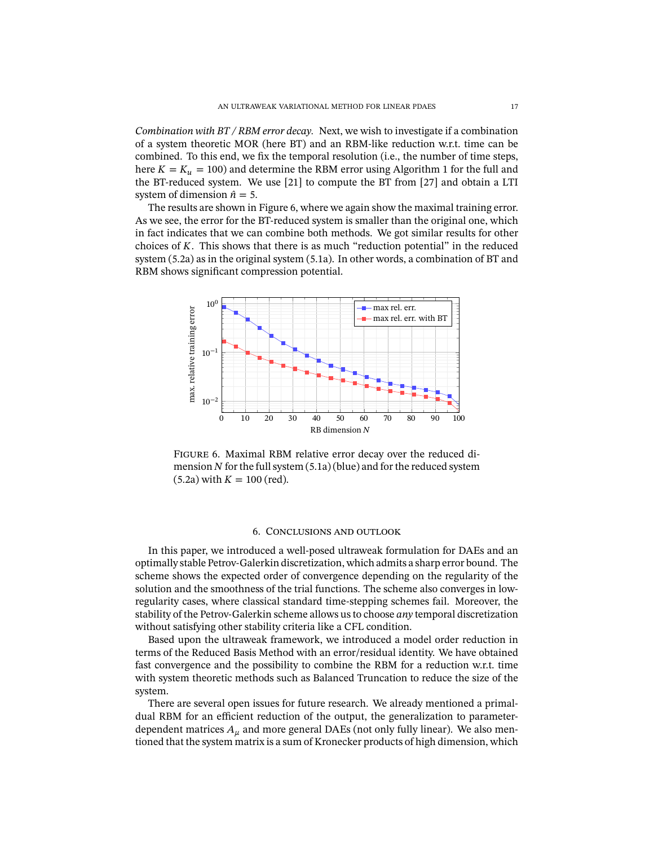*Combination with BT / RBM error decay.* Next, we wish to investigate if a combination of a system theoretic MOR (here BT) and an RBM-like reduction w.r.t. time can be combined. To this end, we fix the temporal resolution (i.e., the number of time steps, here  $K = K<sub>u</sub> = 100$  $K = K<sub>u</sub> = 100$  $K = K<sub>u</sub> = 100$ ) and determine the RBM error using Algorithm 1 for the full and the BT-reduced system. We use [\[21\]](#page-18-10) to compute the BT from [\[27\]](#page-18-12) and obtain a LTI system of dimension  $\hat{n} = 5$ .

The results are shown in Figure [6,](#page-16-1) where we again show the maximal training error. As we see, the error for the BT-reduced system is smaller than the original one, which in fact indicates that we can combine both methods. We got similar results for other choices of  $K$ . This shows that there is as much "reduction potential" in the reduced system [\(5.2a\)](#page-14-0) as in the original system [\(5.1a\)](#page-13-3). In other words, a combination of BT and RBM shows significant compression potential.

<span id="page-16-1"></span>

Figure 6. Maximal RBM relative error decay over the reduced dimension  $N$  for the full system  $(5.1a)$  (blue) and for the reduced system  $(5.2a)$  with  $K = 100$  (red).

### 6. Conclusions and outlook

<span id="page-16-0"></span>In this paper, we introduced a well-posed ultraweak formulation for DAEs and an optimally stable Petrov-Galerkin discretization, which admits a sharp error bound. The scheme shows the expected order of convergence depending on the regularity of the solution and the smoothness of the trial functions. The scheme also converges in lowregularity cases, where classical standard time-stepping schemes fail. Moreover, the stability of the Petrov-Galerkin scheme allows us to choose *any* temporal discretization without satisfying other stability criteria like a CFL condition.

Based upon the ultraweak framework, we introduced a model order reduction in terms of the Reduced Basis Method with an error/residual identity. We have obtained fast convergence and the possibility to combine the RBM for a reduction w.r.t. time with system theoretic methods such as Balanced Truncation to reduce the size of the system.

There are several open issues for future research. We already mentioned a primaldual RBM for an efficient reduction of the output, the generalization to parameterdependent matrices  $A_{\mu}$  and more general DAEs (not only fully linear). We also mentioned that the system matrix is a sum of Kronecker products of high dimension, which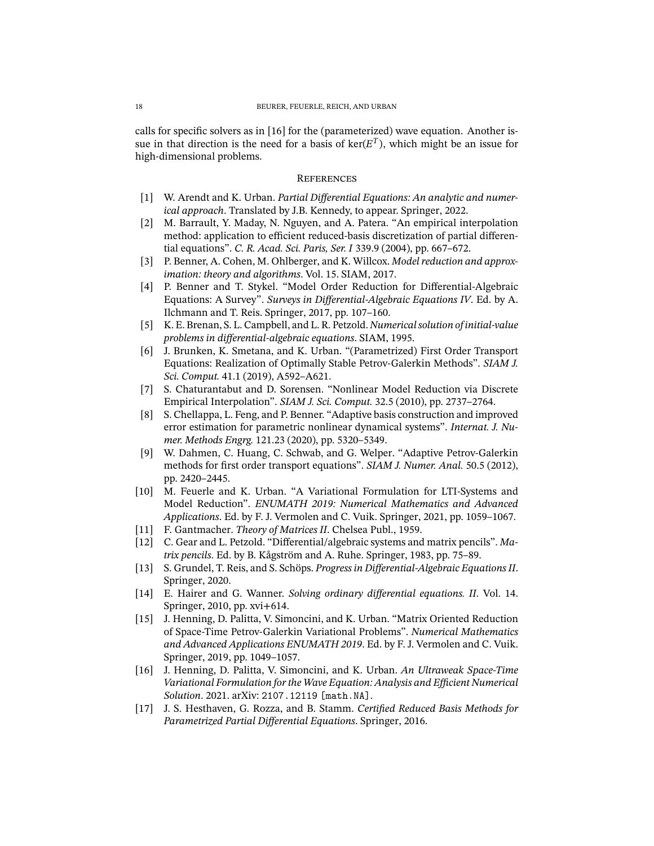calls for specific solvers as in  $[16]$  for the (parameterized) wave equation. Another issue in that direction is the need for a basis of ker( $E<sup>T</sup>$ ), which might be an issue for high-dimensional problems.

# **REFERENCES**

- <span id="page-17-15"></span>[1] W. Arendt and K. Urban. *Partial Differential Equations: An analytic and numerical approach*. Translated by J.B. Kennedy, to appear. Springer, 2022.
- <span id="page-17-9"></span>[2] M. Barrault, Y. Maday, N. Nguyen, and A. Patera. "An empirical interpolation method: application to efficient reduced-basis discretization of partial differential equations". *C. R. Acad. Sci. Paris, Ser. I* 339.9 (2004), pp. 667–672.
- <span id="page-17-3"></span>[3] P. Benner, A. Cohen, M. Ohlberger, and K. Willcox. *Model reduction and approximation: theory and algorithms*. Vol. 15. SIAM, 2017.
- <span id="page-17-4"></span>[4] P. Benner and T. Stykel. "Model Order Reduction for Differential-Algebraic Equations: A Survey". Surveys in Differential-Algebraic Equations IV. Ed. by A. Ilchmann and T. Reis. Springer, 2017, pp. 107–160.
- <span id="page-17-0"></span>[5] K. E. Brenan, S. L. Campbell, and L. R. Petzold. *Numerical solution of initial-value problems in dierential-algebraic equations*. SIAM, 1995.
- <span id="page-17-13"></span>[6] J. Brunken, K. Smetana, and K. Urban. "(Parametrized) First Order Transport Equations: Realization of Optimally Stable Petrov-Galerkin Methods". *SIAM J. Sci. Comput.* 41.1 (2019), A592–A621.
- <span id="page-17-10"></span>[7] S. Chaturantabut and D. Sorensen. "Nonlinear Model Reduction via Discrete Empirical Interpolation". *SIAM J. Sci. Comput.* 32.5 (2010), pp. 2737–2764.
- <span id="page-17-5"></span>[8] S. Chellappa, L. Feng, and P. Benner. "Adaptive basis construction and improved error estimation for parametric nonlinear dynamical systems". *Internat. J. Numer. Methods Engrg.* 121.23 (2020), pp. 5320–5349.
- <span id="page-17-12"></span>[9] W. Dahmen, C. Huang, C. Schwab, and G. Welper. "Adaptive Petrov-Galerkin methods for first order transport equations". *SIAM J. Numer. Anal.* 50.5 (2012), pp. 2420–2445.
- <span id="page-17-6"></span>[10] M. Feuerle and K. Urban. "A Variational Formulation for LTI-Systems and Model Reduction". *ENUMATH 2019: Numerical Mathematics and Advanced Applications*. Ed. by F. J. Vermolen and C. Vuik. Springer, 2021, pp. 1059–1067.
- <span id="page-17-11"></span>[11] F. Gantmacher. *Theory of Matrices II*. Chelsea Publ., 1959.
- <span id="page-17-7"></span>[12] C. Gear and L. Petzold. "Differential/algebraic systems and matrix pencils". Ma*trix pencils*. Ed. by B. Kågström and A. Ruhe. Springer, 1983, pp. 75–89.
- <span id="page-17-2"></span>[13] S. Grundel, T. Reis, and S. Schöps. *Progress in Dierential-Algebraic Equations II*. Springer, 2020.
- <span id="page-17-1"></span>[14] E. Hairer and G. Wanner. *Solving ordinary differential equations. II*. Vol. 14. Springer, 2010, pp. xvi+614.
- <span id="page-17-16"></span>[15] J. Henning, D. Palitta, V. Simoncini, and K. Urban. "Matrix Oriented Reduction of Space-Time Petrov-Galerkin Variational Problems". *Numerical Mathematics and Advanced Applications ENUMATH 2019*. Ed. by F. J. Vermolen and C. Vuik. Springer, 2019, pp. 1049–1057.
- <span id="page-17-14"></span>[16] J. Henning, D. Palitta, V. Simoncini, and K. Urban. *An Ultraweak Space-Time Variational Formulation for the Wave Equation: Analysis and Efficient Numerical Solution*. 2021. arXiv: [2107.12119 \[math.NA\]](https://arxiv.org/abs/2107.12119).
- <span id="page-17-8"></span>[17] J. S. Hesthaven, G. Rozza, and B. Stamm. *Certied Reduced Basis Methods for Parametrized Partial Differential Equations. Springer, 2016.*